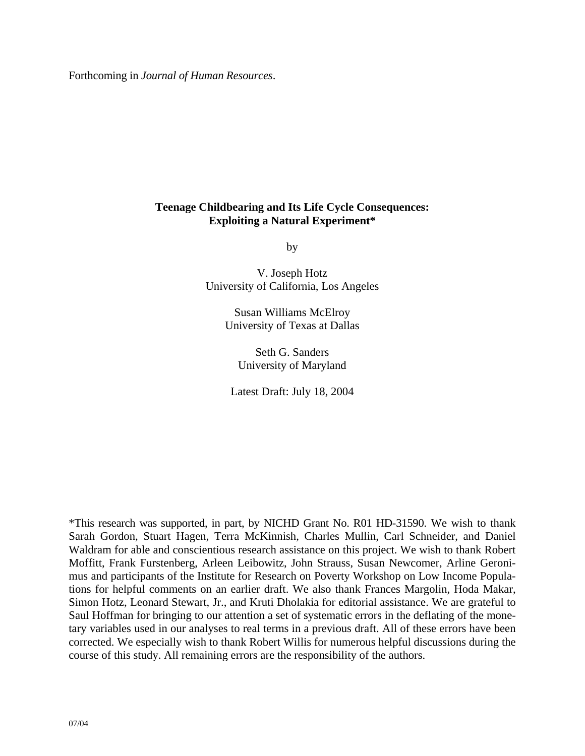Forthcoming in *Journal of Human Resources*.

# **Teenage Childbearing and Its Life Cycle Consequences: Exploiting a Natural Experiment\***

by

V. Joseph Hotz University of California, Los Angeles

> Susan Williams McElroy University of Texas at Dallas

Seth G. Sanders University of Maryland

Latest Draft: July 18, 2004

\*This research was supported, in part, by NICHD Grant No. R01 HD-31590. We wish to thank Sarah Gordon, Stuart Hagen, Terra McKinnish, Charles Mullin, Carl Schneider, and Daniel Waldram for able and conscientious research assistance on this project. We wish to thank Robert Moffitt, Frank Furstenberg, Arleen Leibowitz, John Strauss, Susan Newcomer, Arline Geronimus and participants of the Institute for Research on Poverty Workshop on Low Income Populations for helpful comments on an earlier draft. We also thank Frances Margolin, Hoda Makar, Simon Hotz, Leonard Stewart, Jr., and Kruti Dholakia for editorial assistance. We are grateful to Saul Hoffman for bringing to our attention a set of systematic errors in the deflating of the monetary variables used in our analyses to real terms in a previous draft. All of these errors have been corrected. We especially wish to thank Robert Willis for numerous helpful discussions during the course of this study. All remaining errors are the responsibility of the authors.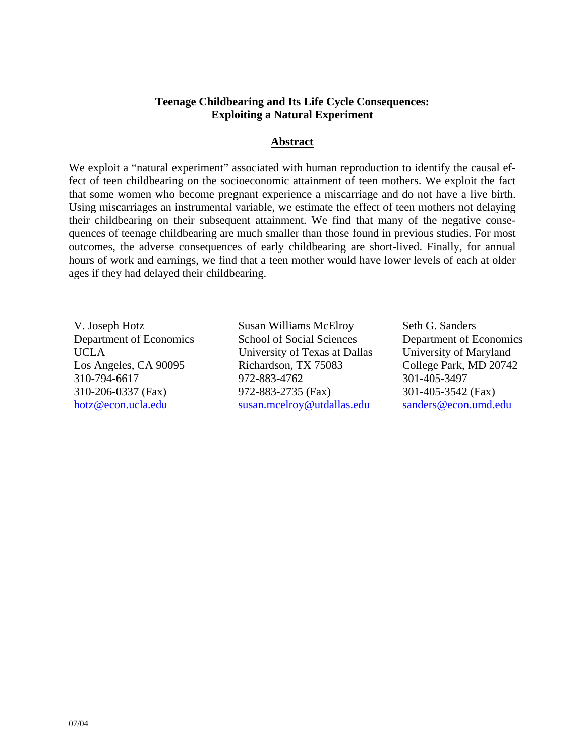# **Teenage Childbearing and Its Life Cycle Consequences: Exploiting a Natural Experiment**

## **Abstract**

We exploit a "natural experiment" associated with human reproduction to identify the causal effect of teen childbearing on the socioeconomic attainment of teen mothers. We exploit the fact that some women who become pregnant experience a miscarriage and do not have a live birth. Using miscarriages an instrumental variable, we estimate the effect of teen mothers not delaying their childbearing on their subsequent attainment. We find that many of the negative consequences of teenage childbearing are much smaller than those found in previous studies. For most outcomes, the adverse consequences of early childbearing are short-lived. Finally, for annual hours of work and earnings, we find that a teen mother would have lower levels of each at older ages if they had delayed their childbearing.

V. Joseph Hotz Susan Williams McElroy Seth G. Sanders Department of Economics School of Social Sciences Department of Economics UCLA University of Texas at Dallas University of Maryland Los Angeles, CA 90095 Richardson, TX 75083 College Park, MD 20742 310-794-6617 972-883-4762 301-405-3497 310-206-0337 (Fax) 972-883-2735 (Fax) 301-405-3542 (Fax) [hotz@econ.ucla.edu](mailto:hotz@econ.ucla.edu) [susan.mcelroy@utdallas.edu](mailto:susan.mcelroy@utdallas.edu) [sanders@econ.umd.edu](mailto:Sanders@econ.umd.edu)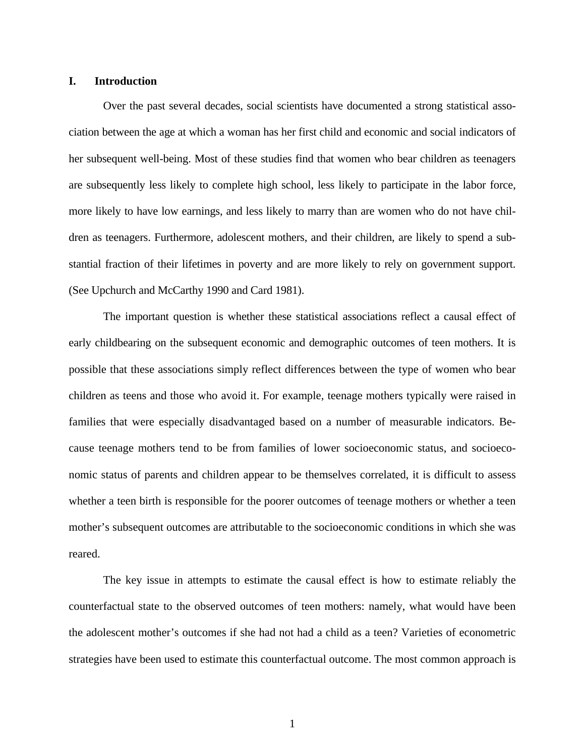### **I. Introduction**

 Over the past several decades, social scientists have documented a strong statistical association between the age at which a woman has her first child and economic and social indicators of her subsequent well-being. Most of these studies find that women who bear children as teenagers are subsequently less likely to complete high school, less likely to participate in the labor force, more likely to have low earnings, and less likely to marry than are women who do not have children as teenagers. Furthermore, adolescent mothers, and their children, are likely to spend a substantial fraction of their lifetimes in poverty and are more likely to rely on government support. (See Upchurch and McCarthy 1990 and Card 1981).

 The important question is whether these statistical associations reflect a causal effect of early childbearing on the subsequent economic and demographic outcomes of teen mothers. It is possible that these associations simply reflect differences between the type of women who bear children as teens and those who avoid it. For example, teenage mothers typically were raised in families that were especially disadvantaged based on a number of measurable indicators. Because teenage mothers tend to be from families of lower socioeconomic status, and socioeconomic status of parents and children appear to be themselves correlated, it is difficult to assess whether a teen birth is responsible for the poorer outcomes of teenage mothers or whether a teen mother's subsequent outcomes are attributable to the socioeconomic conditions in which she was reared.

 The key issue in attempts to estimate the causal effect is how to estimate reliably the counterfactual state to the observed outcomes of teen mothers: namely, what would have been the adolescent mother's outcomes if she had not had a child as a teen? Varieties of econometric strategies have been used to estimate this counterfactual outcome. The most common approach is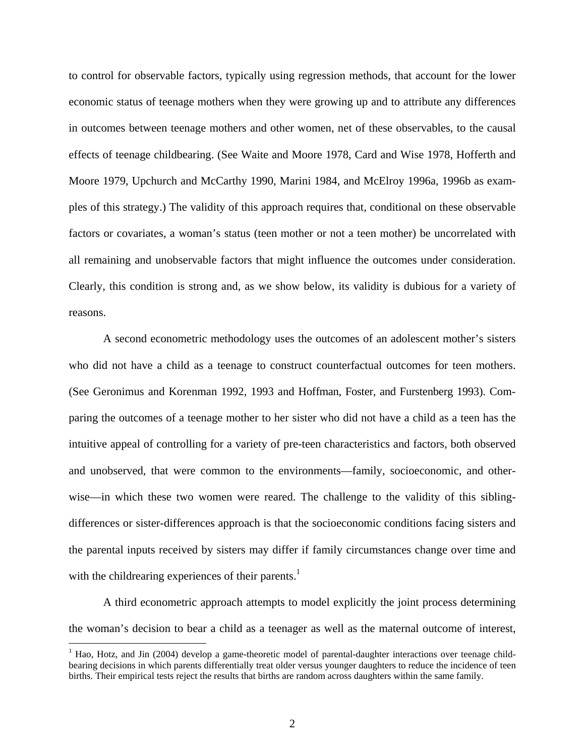to control for observable factors, typically using regression methods, that account for the lower economic status of teenage mothers when they were growing up and to attribute any differences in outcomes between teenage mothers and other women, net of these observables, to the causal effects of teenage childbearing. (See Waite and Moore 1978, Card and Wise 1978, Hofferth and Moore 1979, Upchurch and McCarthy 1990, Marini 1984, and McElroy 1996a, 1996b as examples of this strategy.) The validity of this approach requires that, conditional on these observable factors or covariates, a woman's status (teen mother or not a teen mother) be uncorrelated with all remaining and unobservable factors that might influence the outcomes under consideration. Clearly, this condition is strong and, as we show below, its validity is dubious for a variety of reasons.

 A second econometric methodology uses the outcomes of an adolescent mother's sisters who did not have a child as a teenage to construct counterfactual outcomes for teen mothers. (See Geronimus and Korenman 1992, 1993 and Hoffman, Foster, and Furstenberg 1993). Comparing the outcomes of a teenage mother to her sister who did not have a child as a teen has the intuitive appeal of controlling for a variety of pre-teen characteristics and factors, both observed and unobserved, that were common to the environments—family, socioeconomic, and otherwise—in which these two women were reared. The challenge to the validity of this siblingdifferences or sister-differences approach is that the socioeconomic conditions facing sisters and the parental inputs received by sisters may differ if family circumstances change over time and with the childrearing experiences of their parents.<sup>1</sup>

A third econometric approach attempts to model explicitly the joint process determining the woman's decision to bear a child as a teenager as well as the maternal outcome of interest,

<span id="page-3-0"></span><sup>&</sup>lt;sup>1</sup> Hao, Hotz, and Jin (2004) develop a game-theoretic model of parental-daughter interactions over teenage childbearing decisions in which parents differentially treat older versus younger daughters to reduce the incidence of teen births. Their empirical tests reject the results that births are random across daughters within the same family.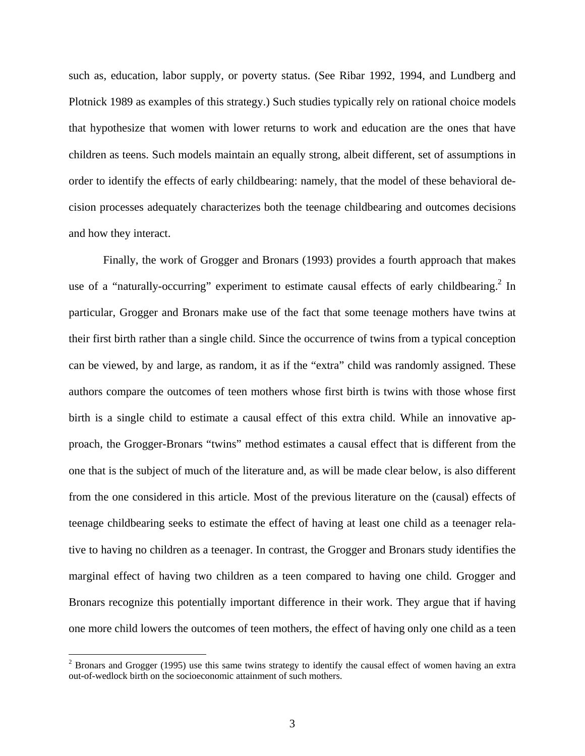such as, education, labor supply, or poverty status. (See Ribar 1992, 1994, and Lundberg and Plotnick 1989 as examples of this strategy.) Such studies typically rely on rational choice models that hypothesize that women with lower returns to work and education are the ones that have children as teens. Such models maintain an equally strong, albeit different, set of assumptions in order to identify the effects of early childbearing: namely, that the model of these behavioral decision processes adequately characterizes both the teenage childbearing and outcomes decisions and how they interact.

 Finally, the work of Grogger and Bronars (1993) provides a fourth approach that makes use of a "naturally-occurring" experiment to estimate causal effects of early childbearing.<sup>[2](#page-4-0)</sup> In particular, Grogger and Bronars make use of the fact that some teenage mothers have twins at their first birth rather than a single child. Since the occurrence of twins from a typical conception can be viewed, by and large, as random, it as if the "extra" child was randomly assigned. These authors compare the outcomes of teen mothers whose first birth is twins with those whose first birth is a single child to estimate a causal effect of this extra child. While an innovative approach, the Grogger-Bronars "twins" method estimates a causal effect that is different from the one that is the subject of much of the literature and, as will be made clear below, is also different from the one considered in this article. Most of the previous literature on the (causal) effects of teenage childbearing seeks to estimate the effect of having at least one child as a teenager relative to having no children as a teenager. In contrast, the Grogger and Bronars study identifies the marginal effect of having two children as a teen compared to having one child. Grogger and Bronars recognize this potentially important difference in their work. They argue that if having one more child lowers the outcomes of teen mothers, the effect of having only one child as a teen

1

<span id="page-4-0"></span> $2^2$  Bronars and Grogger (1995) use this same twins strategy to identify the causal effect of women having an extra out-of-wedlock birth on the socioeconomic attainment of such mothers.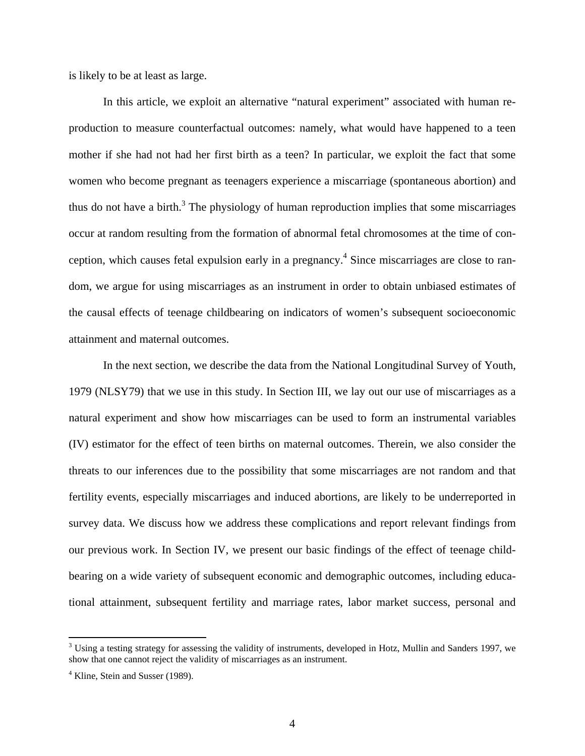is likely to be at least as large.

 In this article, we exploit an alternative "natural experiment" associated with human reproduction to measure counterfactual outcomes: namely, what would have happened to a teen mother if she had not had her first birth as a teen? In particular, we exploit the fact that some women who become pregnant as teenagers experience a miscarriage (spontaneous abortion) and thus do not have a birth.<sup>3</sup> The physiology of human reproduction implies that some miscarriages occur at random resulting from the formation of abnormal fetal chromosomes at the time of conception, which causes fetal expulsion early in a pregnancy.<sup>4</sup> Since miscarriages are close to random, we argue for using miscarriages as an instrument in order to obtain unbiased estimates of the causal effects of teenage childbearing on indicators of women's subsequent socioeconomic attainment and maternal outcomes.

 In the next section, we describe the data from the National Longitudinal Survey of Youth, 1979 (NLSY79) that we use in this study. In Section III, we lay out our use of miscarriages as a natural experiment and show how miscarriages can be used to form an instrumental variables (IV) estimator for the effect of teen births on maternal outcomes. Therein, we also consider the threats to our inferences due to the possibility that some miscarriages are not random and that fertility events, especially miscarriages and induced abortions, are likely to be underreported in survey data. We discuss how we address these complications and report relevant findings from our previous work. In Section IV, we present our basic findings of the effect of teenage childbearing on a wide variety of subsequent economic and demographic outcomes, including educational attainment, subsequent fertility and marriage rates, labor market success, personal and

<span id="page-5-0"></span> $3$  Using a testing strategy for assessing the validity of instruments, developed in Hotz, Mullin and Sanders 1997, we show that one cannot reject the validity of miscarriages as an instrument.

<span id="page-5-1"></span><sup>&</sup>lt;sup>4</sup> Kline, Stein and Susser (1989).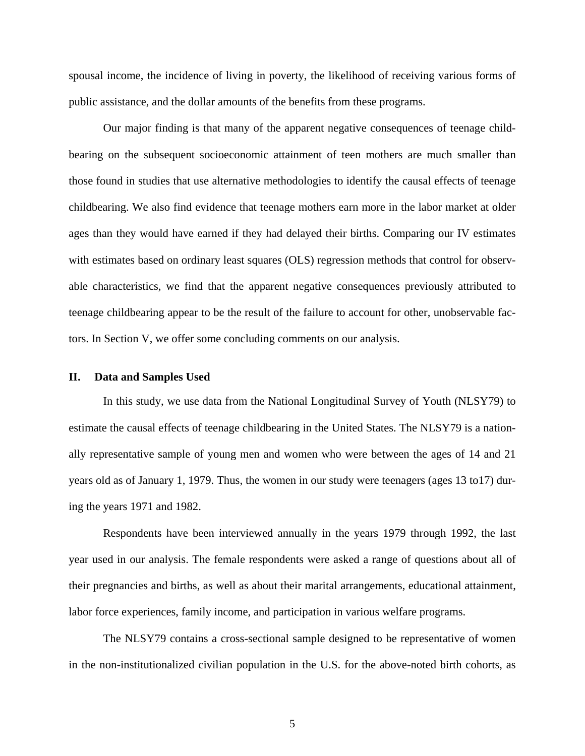spousal income, the incidence of living in poverty, the likelihood of receiving various forms of public assistance, and the dollar amounts of the benefits from these programs.

 Our major finding is that many of the apparent negative consequences of teenage childbearing on the subsequent socioeconomic attainment of teen mothers are much smaller than those found in studies that use alternative methodologies to identify the causal effects of teenage childbearing. We also find evidence that teenage mothers earn more in the labor market at older ages than they would have earned if they had delayed their births. Comparing our IV estimates with estimates based on ordinary least squares (OLS) regression methods that control for observable characteristics, we find that the apparent negative consequences previously attributed to teenage childbearing appear to be the result of the failure to account for other, unobservable factors. In Section V, we offer some concluding comments on our analysis.

### **II. Data and Samples Used**

 In this study, we use data from the National Longitudinal Survey of Youth (NLSY79) to estimate the causal effects of teenage childbearing in the United States. The NLSY79 is a nationally representative sample of young men and women who were between the ages of 14 and 21 years old as of January 1, 1979. Thus, the women in our study were teenagers (ages 13 to17) during the years 1971 and 1982.

Respondents have been interviewed annually in the years 1979 through 1992, the last year used in our analysis. The female respondents were asked a range of questions about all of their pregnancies and births, as well as about their marital arrangements, educational attainment, labor force experiences, family income, and participation in various welfare programs.

 The NLSY79 contains a cross-sectional sample designed to be representative of women in the non-institutionalized civilian population in the U.S. for the above-noted birth cohorts, as

5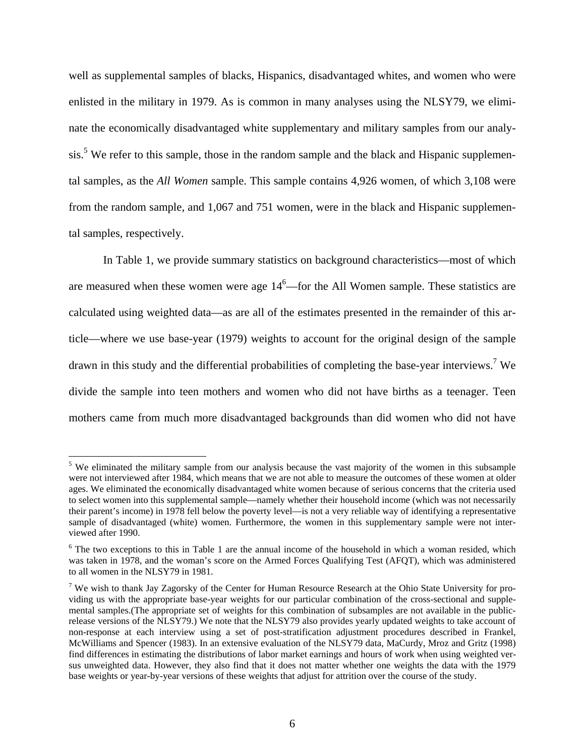well as supplemental samples of blacks, Hispanics, disadvantaged whites, and women who were enlisted in the military in 1979. As is common in many analyses using the NLSY79, we eliminate the economically disadvantaged white supplementary and military samples from our analy-sis.<sup>[5](#page-7-0)</sup> We refer to this sample, those in the random sample and the black and Hispanic supplemental samples, as the *All Women* sample. This sample contains 4,926 women, of which 3,108 were from the random sample, and 1,067 and 751 women, were in the black and Hispanic supplemental samples, respectively.

 In Table 1, we provide summary statistics on background characteristics—most of which are measured when these women were age  $14<sup>6</sup>$  $14<sup>6</sup>$  $14<sup>6</sup>$ —for the All Women sample. These statistics are calculated using weighted data—as are all of the estimates presented in the remainder of this article—where we use base-year (1979) weights to account for the original design of the sample drawn in this study and the differential probabilities of completing the base-year interviews.<sup>7</sup> We divide the sample into teen mothers and women who did not have births as a teenager. Teen mothers came from much more disadvantaged backgrounds than did women who did not have

<span id="page-7-0"></span><sup>&</sup>lt;sup>5</sup> We eliminated the military sample from our analysis because the vast majority of the women in this subsample were not interviewed after 1984, which means that we are not able to measure the outcomes of these women at older ages. We eliminated the economically disadvantaged white women because of serious concerns that the criteria used to select women into this supplemental sample—namely whether their household income (which was not necessarily their parent's income) in 1978 fell below the poverty level—is not a very reliable way of identifying a representative sample of disadvantaged (white) women. Furthermore, the women in this supplementary sample were not interviewed after 1990.

<span id="page-7-1"></span><sup>&</sup>lt;sup>6</sup> The two exceptions to this in Table 1 are the annual income of the household in which a woman resided, which was taken in 1978, and the woman's score on the Armed Forces Qualifying Test (AFQT), which was administered to all women in the NLSY79 in 1981.

<span id="page-7-2"></span><sup>&</sup>lt;sup>7</sup> We wish to thank Jay Zagorsky of the Center for Human Resource Research at the Ohio State University for providing us with the appropriate base-year weights for our particular combination of the cross-sectional and supplemental samples.(The appropriate set of weights for this combination of subsamples are not available in the publicrelease versions of the NLSY79.) We note that the NLSY79 also provides yearly updated weights to take account of non-response at each interview using a set of post-stratification adjustment procedures described in Frankel, McWilliams and Spencer (1983). In an extensive evaluation of the NLSY79 data, MaCurdy, Mroz and Gritz (1998) find differences in estimating the distributions of labor market earnings and hours of work when using weighted versus unweighted data. However, they also find that it does not matter whether one weights the data with the 1979 base weights or year-by-year versions of these weights that adjust for attrition over the course of the study.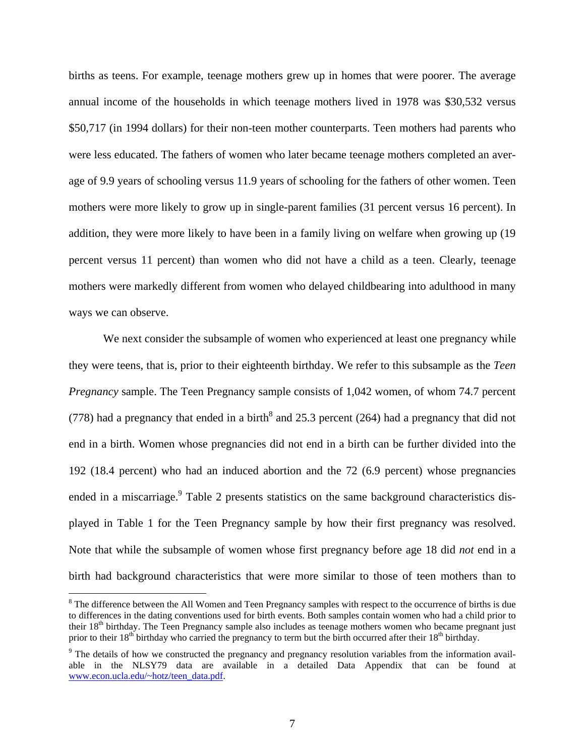births as teens. For example, teenage mothers grew up in homes that were poorer. The average annual income of the households in which teenage mothers lived in 1978 was \$30,532 versus \$50,717 (in 1994 dollars) for their non-teen mother counterparts. Teen mothers had parents who were less educated. The fathers of women who later became teenage mothers completed an average of 9.9 years of schooling versus 11.9 years of schooling for the fathers of other women. Teen mothers were more likely to grow up in single-parent families (31 percent versus 16 percent). In addition, they were more likely to have been in a family living on welfare when growing up (19 percent versus 11 percent) than women who did not have a child as a teen. Clearly, teenage mothers were markedly different from women who delayed childbearing into adulthood in many ways we can observe.

 We next consider the subsample of women who experienced at least one pregnancy while they were teens, that is, prior to their eighteenth birthday. We refer to this subsample as the *Teen Pregnancy* sample. The Teen Pregnancy sample consists of 1,042 women, of whom 74.7 percent (77[8](#page-8-0)) had a pregnancy that ended in a birth<sup>8</sup> and 25.3 percent (264) had a pregnancy that did not end in a birth. Women whose pregnancies did not end in a birth can be further divided into the 192 (18.4 percent) who had an induced abortion and the 72 (6.9 percent) whose pregnancies ended in a miscarriage.<sup>9</sup> Table 2 presents statistics on the same background characteristics displayed in Table 1 for the Teen Pregnancy sample by how their first pregnancy was resolved. Note that while the subsample of women whose first pregnancy before age 18 did *not* end in a birth had background characteristics that were more similar to those of teen mothers than to

<span id="page-8-0"></span> $8$  The difference between the All Women and Teen Pregnancy samples with respect to the occurrence of births is due to differences in the dating conventions used for birth events. Both samples contain women who had a child prior to their 18<sup>th</sup> birthday. The Teen Pregnancy sample also includes as teenage mothers women who became pregnant just prior to their  $18<sup>th</sup>$  birthday who carried the pregnancy to term but the birth occurred after their  $18<sup>th</sup>$  birthday.

<span id="page-8-1"></span><sup>&</sup>lt;sup>9</sup> The details of how we constructed the pregnancy and pregnancy resolution variables from the information available in the NLSY79 data are available in a detailed Data Appendix that can be found at www.econ.ucla.edu/~hotz/teen\_data.pdf.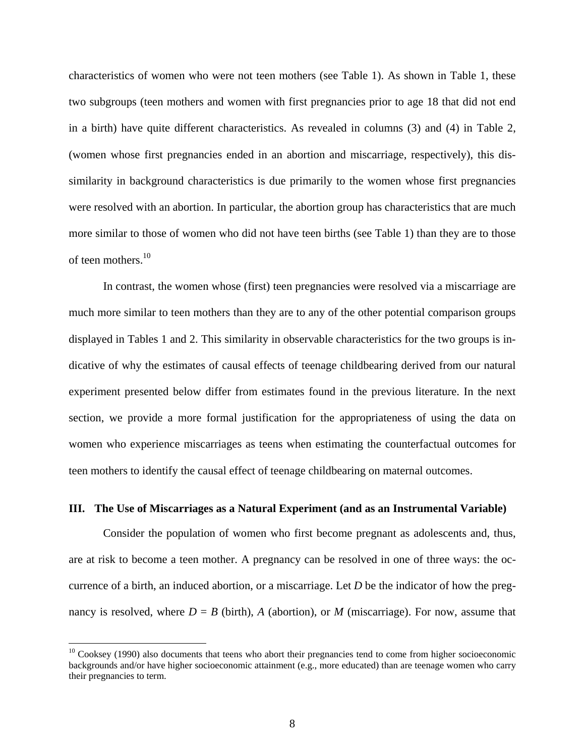characteristics of women who were not teen mothers (see Table 1). As shown in Table 1, these two subgroups (teen mothers and women with first pregnancies prior to age 18 that did not end in a birth) have quite different characteristics. As revealed in columns (3) and (4) in Table 2, (women whose first pregnancies ended in an abortion and miscarriage, respectively), this dissimilarity in background characteristics is due primarily to the women whose first pregnancies were resolved with an abortion. In particular, the abortion group has characteristics that are much more similar to those of women who did not have teen births (see Table 1) than they are to those of teen mothers. $10$ 

 In contrast, the women whose (first) teen pregnancies were resolved via a miscarriage are much more similar to teen mothers than they are to any of the other potential comparison groups displayed in Tables 1 and 2. This similarity in observable characteristics for the two groups is indicative of why the estimates of causal effects of teenage childbearing derived from our natural experiment presented below differ from estimates found in the previous literature. In the next section, we provide a more formal justification for the appropriateness of using the data on women who experience miscarriages as teens when estimating the counterfactual outcomes for teen mothers to identify the causal effect of teenage childbearing on maternal outcomes.

### **III. The Use of Miscarriages as a Natural Experiment (and as an Instrumental Variable)**

 Consider the population of women who first become pregnant as adolescents and, thus, are at risk to become a teen mother. A pregnancy can be resolved in one of three ways: the occurrence of a birth, an induced abortion, or a miscarriage. Let *D* be the indicator of how the pregnancy is resolved, where  $D = B$  (birth), *A* (abortion), or *M* (miscarriage). For now, assume that

<span id="page-9-0"></span><sup>&</sup>lt;sup>10</sup> Cooksey (1990) also documents that teens who abort their pregnancies tend to come from higher socioeconomic backgrounds and/or have higher socioeconomic attainment (e.g., more educated) than are teenage women who carry their pregnancies to term.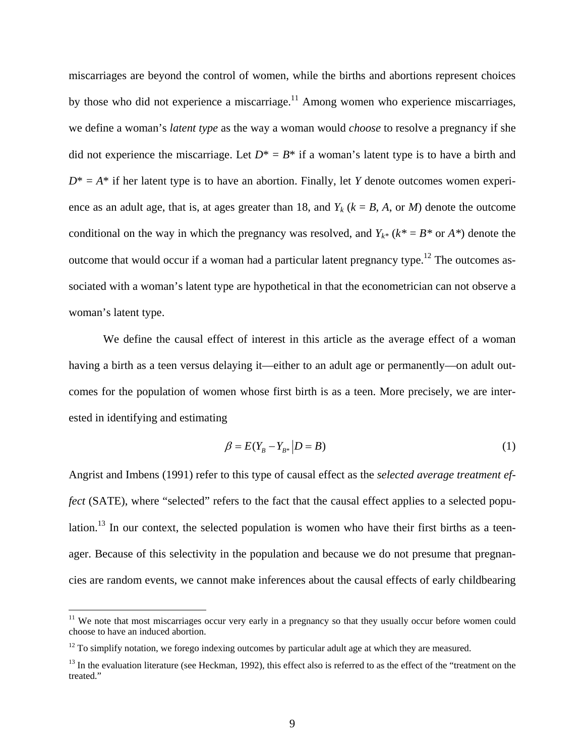miscarriages are beyond the control of women, while the births and abortions represent choices by those who did not experience a miscarriage.<sup>11</sup> Among women who experience miscarriages, we define a woman's *latent type* as the way a woman would *choose* to resolve a pregnancy if she did not experience the miscarriage. Let  $D^* = B^*$  if a woman's latent type is to have a birth and  $D^* = A^*$  if her latent type is to have an abortion. Finally, let *Y* denote outcomes women experience as an adult age, that is, at ages greater than 18, and  $Y_k$  ( $k = B$ ,  $A$ , or  $M$ ) denote the outcome conditional on the way in which the pregnancy was resolved, and  $Y_{k^*}$  ( $k^* = B^*$  or  $A^*$ ) denote the outcome that would occur if a woman had a particular latent pregnancy type.<sup>12</sup> The outcomes associated with a woman's latent type are hypothetical in that the econometrician can not observe a woman's latent type.

 We define the causal effect of interest in this article as the average effect of a woman having a birth as a teen versus delaying it—either to an adult age or permanently—on adult outcomes for the population of women whose first birth is as a teen. More precisely, we are interested in identifying and estimating

<span id="page-10-3"></span>
$$
\beta = E(Y_B - Y_{B^*} | D = B) \tag{1}
$$

Angrist and Imbens (1991) refer to this type of causal effect as the *selected average treatment effect* (SATE), where "selected" refers to the fact that the causal effect applies to a selected population.<sup>13</sup> In our context, the selected population is women who have their first births as a teenager. Because of this selectivity in the population and because we do not presume that pregnancies are random events, we cannot make inferences about the causal effects of early childbearing

<span id="page-10-0"></span> $11$  We note that most miscarriages occur very early in a pregnancy so that they usually occur before women could choose to have an induced abortion.

<span id="page-10-1"></span> $12$  To simplify notation, we forego indexing outcomes by particular adult age at which they are measured.

<span id="page-10-2"></span> $<sup>13</sup>$  In the evaluation literature (see Heckman, 1992), this effect also is referred to as the effect of the "treatment on the</sup> treated."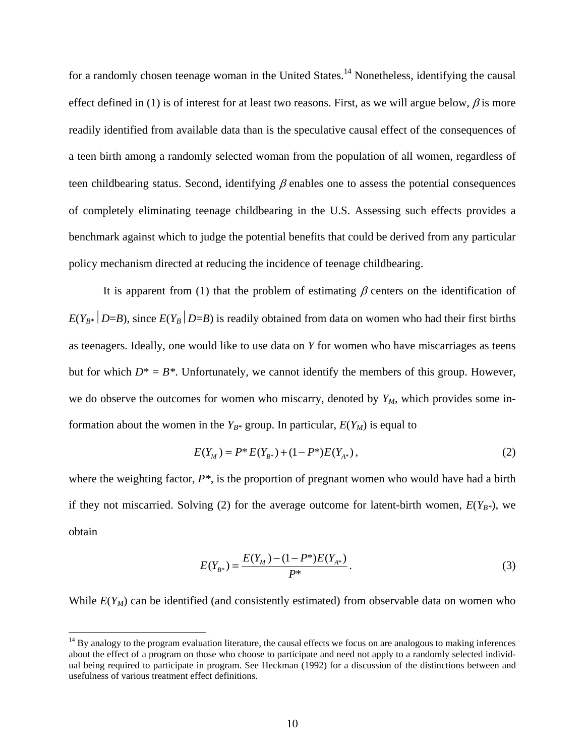for a randomly chosen teenage woman in the United States.<sup>14</sup> Nonetheless, identifying the causal effect defined in [\(1\)](#page-10-3) is of interest for at least two reasons. First, as we will argue below,  $\beta$  is more readily identified from available data than is the speculative causal effect of the consequences of a teen birth among a randomly selected woman from the population of all women, regardless of teen childbearing status. Second, identifying  $\beta$  enables one to assess the potential consequences of completely eliminating teenage childbearing in the U.S. Assessing such effects provides a benchmark against which to judge the potential benefits that could be derived from any particular policy mechanism directed at reducing the incidence of teenage childbearing.

It is apparent from [\(1\)](#page-10-3) that the problem of estimating  $\beta$  centers on the identification of  $E(Y_{B^*} | D=B)$ , since  $E(Y_B | D=B)$  is readily obtained from data on women who had their first births as teenagers. Ideally, one would like to use data on *Y* for women who have miscarriages as teens but for which  $D^* = B^*$ . Unfortunately, we cannot identify the members of this group. However, we do observe the outcomes for women who miscarry, denoted by  $Y_M$ , which provides some information about the women in the  $Y_{B^*}$  group. In particular,  $E(Y_M)$  is equal to

<span id="page-11-0"></span>
$$
E(Y_M) = P^* E(Y_{B^*}) + (1 - P^*) E(Y_{A^*}), \qquad (2)
$$

where the weighting factor,  $P^*$ , is the proportion of pregnant women who would have had a birth if they not miscarried. Solving [\(2\)](#page-11-0) for the average outcome for latent-birth women,  $E(Y_{B*})$ , we obtain

$$
E(Y_{B^*}) = \frac{E(Y_M) - (1 - P^*)E(Y_{A^*})}{P^*}.
$$
\n(3)

While  $E(Y_M)$  can be identified (and consistently estimated) from observable data on women who

<span id="page-11-1"></span> $14$  By analogy to the program evaluation literature, the causal effects we focus on are analogous to making inferences about the effect of a program on those who choose to participate and need not apply to a randomly selected individual being required to participate in program. See Heckman (1992) for a discussion of the distinctions between and usefulness of various treatment effect definitions.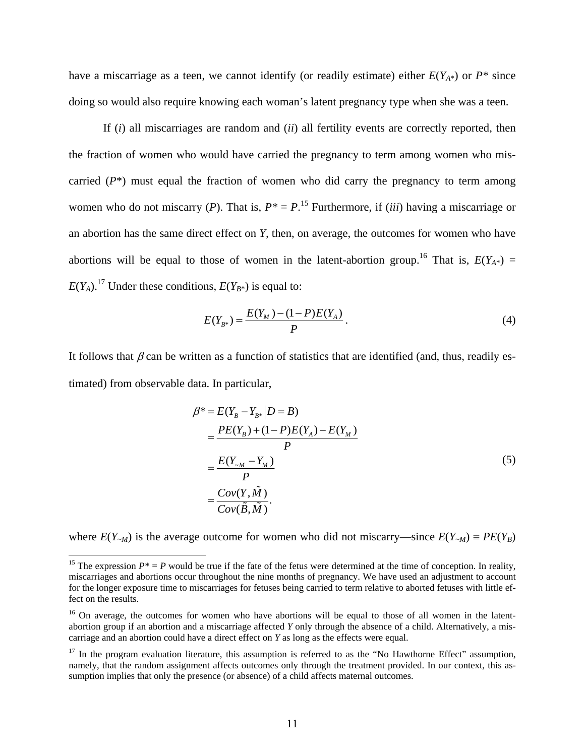have a miscarriage as a teen, we cannot identify (or readily estimate) either  $E(Y_{A*})$  or  $P^*$  since doing so would also require knowing each woman's latent pregnancy type when she was a teen.

If (*i*) all miscarriages are random and (*ii*) all fertility events are correctly reported, then the fraction of women who would have carried the pregnancy to term among women who miscarried (*P*\*) must equal the fraction of women who did carry the pregnancy to term among women who do not miscarry (*P*). That is,  $P^* = P$ .<sup>15</sup> Furthermore, if (*iii*) having a miscarriage or an abortion has the same direct effect on *Y,* then, on average, the outcomes for women who have abortions will be equal to those of women in the latent-abortion group.<sup>16</sup> That is,  $E(Y_{A^*}) =$  $E(Y_A)$ .<sup>17</sup> Under these conditions,  $E(Y_{B*})$  is equal to:

$$
E(Y_{B^*}) = \frac{E(Y_M) - (1 - P)E(Y_A)}{P}.
$$
\n(4)

It follows that  $\beta$  can be written as a function of statistics that are identified (and, thus, readily estimated) from observable data. In particular,

<span id="page-12-3"></span>
$$
\beta^* = E(Y_B - Y_{B^*} | D = B)
$$
  
= 
$$
\frac{PE(Y_B) + (1 - P)E(Y_A) - E(Y_M)}{P}
$$
  
= 
$$
\frac{E(Y_{-M} - Y_M)}{P}
$$
  
= 
$$
\frac{Cov(Y, \tilde{M})}{Cov(\tilde{B}, \tilde{M})}.
$$
 (5)

where  $E(Y_{-M})$  is the average outcome for women who did not miscarry—since  $E(Y_{-M}) = PE(Y_B)$ 

1

<span id="page-12-0"></span><sup>&</sup>lt;sup>15</sup> The expression  $P^* = P$  would be true if the fate of the fetus were determined at the time of conception. In reality, miscarriages and abortions occur throughout the nine months of pregnancy. We have used an adjustment to account for the longer exposure time to miscarriages for fetuses being carried to term relative to aborted fetuses with little effect on the results.

<span id="page-12-1"></span><sup>&</sup>lt;sup>16</sup> On average, the outcomes for women who have abortions will be equal to those of all women in the latentabortion group if an abortion and a miscarriage affected *Y* only through the absence of a child. Alternatively, a miscarriage and an abortion could have a direct effect on *Y* as long as the effects were equal.

<span id="page-12-2"></span> $17$  In the program evaluation literature, this assumption is referred to as the "No Hawthorne Effect" assumption, namely, that the random assignment affects outcomes only through the treatment provided. In our context, this assumption implies that only the presence (or absence) of a child affects maternal outcomes.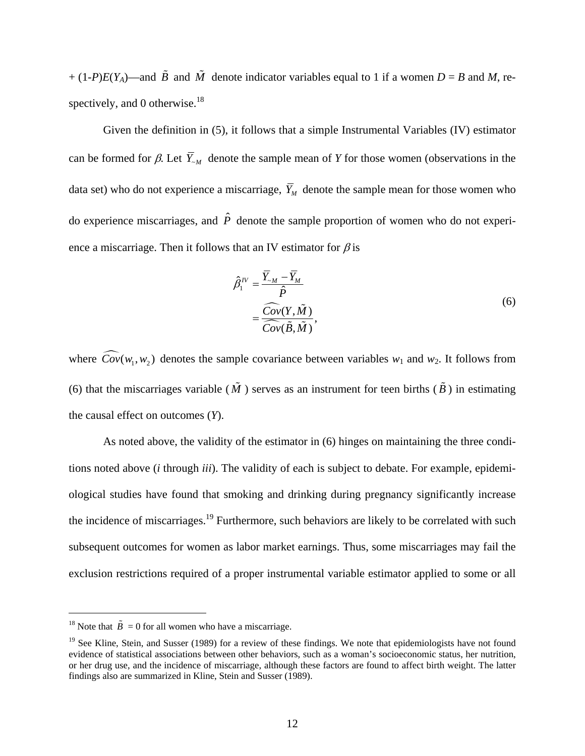+ (1-*P*)*E*(*Y<sub>A</sub>*)—and  $\tilde{B}$  and  $\tilde{M}$  denote indicator variables equal to 1 if a women *D* = *B* and *M*, re-spectively, and 0 otherwise.<sup>[18](#page-13-1)</sup>

 Given the definition in [\(5\),](#page-12-3) it follows that a simple Instrumental Variables (IV) estimator can be formed for  $\beta$ . Let  $\overline{Y}_{M}$  denote the sample mean of *Y* for those women (observations in the data set) who do not experience a miscarriage,  $\overline{Y}_M$  denote the sample mean for those women who do experience miscarriages, and  $\hat{P}$  denote the sample proportion of women who do not experience a miscarriage. Then it follows that an IV estimator for  $\beta$  is

<span id="page-13-0"></span>
$$
\hat{\beta}_1^{\text{IV}} = \frac{\overline{Y}_{\sim M} - \overline{Y}_M}{\hat{P}}
$$
\n
$$
= \frac{\widehat{Cov}(Y, \tilde{M})}{\widehat{Cov}(\tilde{B}, \tilde{M})},
$$
\n(6)

where  $\widehat{Cov}(w_1, w_2)$  denotes the sample covariance between variables  $w_1$  and  $w_2$ . It follows from [\(6\)](#page-13-0) that the miscarriages variable ( $\tilde{M}$ ) serves as an instrument for teen births ( $\tilde{B}$ ) in estimating the causal effect on outcomes (*Y*).

 As noted above, the validity of the estimator in [\(6\)](#page-13-0) hinges on maintaining the three conditions noted above (*i* through *iii*). The validity of each is subject to debate. For example, epidemiological studies have found that smoking and drinking during pregnancy significantly increase the incidence of miscarriages.<sup>19</sup> Furthermore, such behaviors are likely to be correlated with such subsequent outcomes for women as labor market earnings. Thus, some miscarriages may fail the exclusion restrictions required of a proper instrumental variable estimator applied to some or all

<span id="page-13-1"></span><sup>&</sup>lt;sup>18</sup> Note that  $\tilde{B} = 0$  for all women who have a miscarriage.

<span id="page-13-2"></span><sup>&</sup>lt;sup>19</sup> See Kline, Stein, and Susser (1989) for a review of these findings. We note that epidemiologists have not found evidence of statistical associations between other behaviors, such as a woman's socioeconomic status, her nutrition, or her drug use, and the incidence of miscarriage, although these factors are found to affect birth weight. The latter findings also are summarized in Kline, Stein and Susser (1989).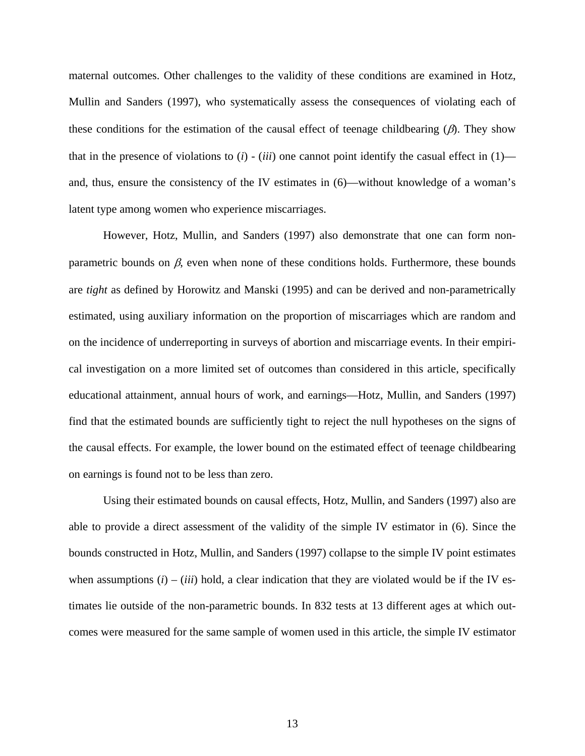maternal outcomes. Other challenges to the validity of these conditions are examined in Hotz, Mullin and Sanders (1997), who systematically assess the consequences of violating each of these conditions for the estimation of the causal effect of teenage childbearing  $(\beta)$ . They show that in the presence of violations to  $(i)$  -  $(iii)$  one cannot point identify the casual effect in  $(1)$  and, thus, ensure the consistency of the IV estimates in [\(6\)—](#page-13-0)without knowledge of a woman's latent type among women who experience miscarriages.

 However, Hotz, Mullin, and Sanders (1997) also demonstrate that one can form nonparametric bounds on  $\beta$ , even when none of these conditions holds. Furthermore, these bounds are *tight* as defined by Horowitz and Manski (1995) and can be derived and non-parametrically estimated, using auxiliary information on the proportion of miscarriages which are random and on the incidence of underreporting in surveys of abortion and miscarriage events. In their empirical investigation on a more limited set of outcomes than considered in this article, specifically educational attainment, annual hours of work, and earnings—Hotz, Mullin, and Sanders (1997) find that the estimated bounds are sufficiently tight to reject the null hypotheses on the signs of the causal effects. For example, the lower bound on the estimated effect of teenage childbearing on earnings is found not to be less than zero.

 Using their estimated bounds on causal effects, Hotz, Mullin, and Sanders (1997) also are able to provide a direct assessment of the validity of the simple IV estimator in [\(6\).](#page-13-0) Since the bounds constructed in Hotz, Mullin, and Sanders (1997) collapse to the simple IV point estimates when assumptions  $(i) - (iii)$  hold, a clear indication that they are violated would be if the IV estimates lie outside of the non-parametric bounds. In 832 tests at 13 different ages at which outcomes were measured for the same sample of women used in this article, the simple IV estimator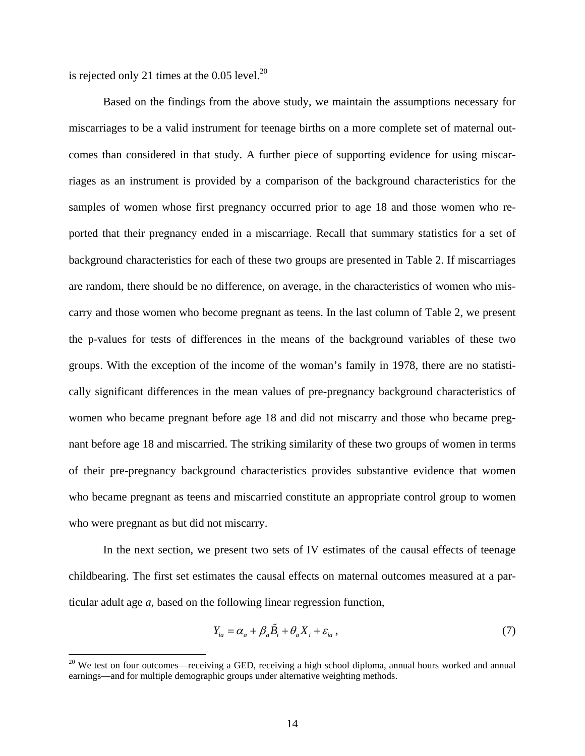is rejected only 21 times at the  $0.05$  level.<sup>20</sup>

 $\overline{a}$ 

 Based on the findings from the above study, we maintain the assumptions necessary for miscarriages to be a valid instrument for teenage births on a more complete set of maternal outcomes than considered in that study. A further piece of supporting evidence for using miscarriages as an instrument is provided by a comparison of the background characteristics for the samples of women whose first pregnancy occurred prior to age 18 and those women who reported that their pregnancy ended in a miscarriage. Recall that summary statistics for a set of background characteristics for each of these two groups are presented in Table 2. If miscarriages are random, there should be no difference, on average, in the characteristics of women who miscarry and those women who become pregnant as teens. In the last column of Table 2, we present the p-values for tests of differences in the means of the background variables of these two groups. With the exception of the income of the woman's family in 1978, there are no statistically significant differences in the mean values of pre-pregnancy background characteristics of women who became pregnant before age 18 and did not miscarry and those who became pregnant before age 18 and miscarried. The striking similarity of these two groups of women in terms of their pre-pregnancy background characteristics provides substantive evidence that women who became pregnant as teens and miscarried constitute an appropriate control group to women who were pregnant as but did not miscarry.

 In the next section, we present two sets of IV estimates of the causal effects of teenage childbearing. The first set estimates the causal effects on maternal outcomes measured at a particular adult age *a*, based on the following linear regression function,

<span id="page-15-1"></span>
$$
Y_{ia} = \alpha_a + \beta_a \tilde{B}_i + \theta_a X_i + \varepsilon_{ia}, \qquad (7)
$$

<span id="page-15-0"></span> $20$  We test on four outcomes—receiving a GED, receiving a high school diploma, annual hours worked and annual earnings—and for multiple demographic groups under alternative weighting methods.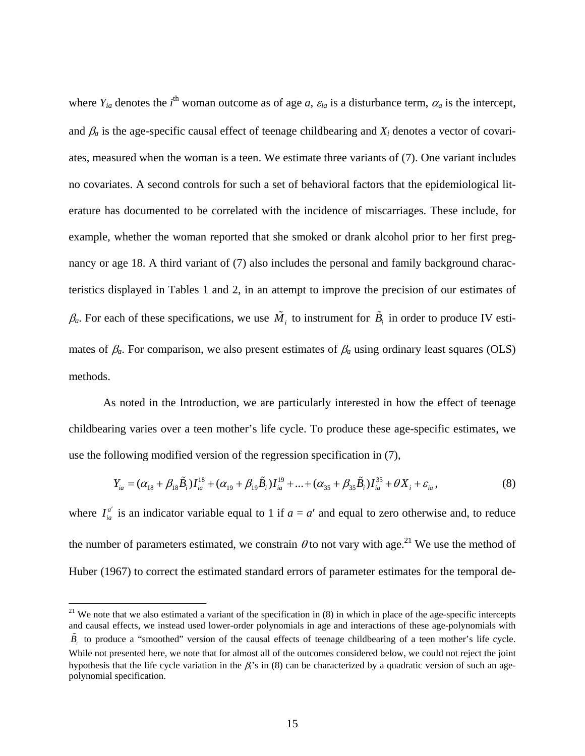where  $Y_{ia}$  denotes the *i*<sup>th</sup> woman outcome as of age *a*,  $\varepsilon_{ia}$  is a disturbance term,  $\alpha_a$  is the intercept, and  $\beta_a$  is the age-specific causal effect of teenage childbearing and  $X_i$  denotes a vector of covariates, measured when the woman is a teen. We estimate three variants of [\(7\).](#page-15-1) One variant includes no covariates. A second controls for such a set of behavioral factors that the epidemiological literature has documented to be correlated with the incidence of miscarriages. These include, for example, whether the woman reported that she smoked or drank alcohol prior to her first pregnancy or age 18. A third variant of [\(7\)](#page-15-1) also includes the personal and family background characteristics displayed in Tables 1 and 2, in an attempt to improve the precision of our estimates of  $\beta_a$ . For each of these specifications, we use  $\tilde{M}_i$  to instrument for  $\tilde{B}_i$  in order to produce IV estimates of  $\beta_a$ . For comparison, we also present estimates of  $\beta_a$  using ordinary least squares (OLS) methods.

 As noted in the Introduction, we are particularly interested in how the effect of teenage childbearing varies over a teen mother's life cycle. To produce these age-specific estimates, we use the following modified version of the regression specification in [\(7\),](#page-15-1)

$$
Y_{ia} = (\alpha_{18} + \beta_{18}\tilde{B}_i)I_{ia}^{18} + (\alpha_{19} + \beta_{19}\tilde{B}_i)I_{ia}^{19} + ... + (\alpha_{35} + \beta_{35}\tilde{B}_i)I_{ia}^{35} + \theta X_i + \varepsilon_{ia},
$$
\n(8)

where  $I_{ia}^{a'}$  is an indicator variable equal to 1 if  $a = a'$  and equal to zero otherwise and, to reduce the number of parameters estimated, we constrain  $\theta$  to not vary with age.<sup>21</sup> We use the method of Huber (1967) to correct the estimated standard errors of parameter estimates for the temporal de-

<span id="page-16-0"></span> $21$  We note that we also estimated a variant of the specification in (8) in which in place of the age-specific intercepts and causal effects, we instead used lower-order polynomials in age and interactions of these age-polynomials with  $\ddot{B}$  to produce a "smoothed" version of the causal effects of teenage childbearing of a teen mother's life cycle. While not presented here, we note that for almost all of the outcomes considered below, we could not reject the joint hypothesis that the life cycle variation in the β*i*'s in (8) can be characterized by a quadratic version of such an agepolynomial specification.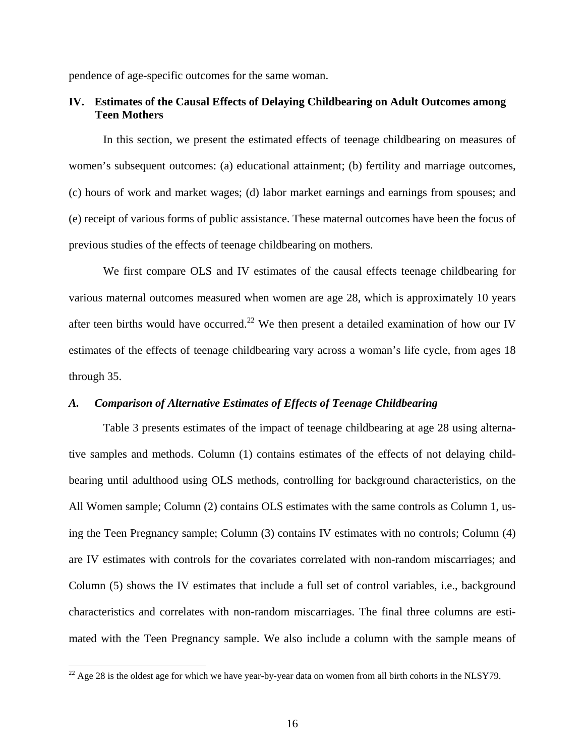pendence of age-specific outcomes for the same woman.

# **IV. Estimates of the Causal Effects of Delaying Childbearing on Adult Outcomes among Teen Mothers**

 In this section, we present the estimated effects of teenage childbearing on measures of women's subsequent outcomes: (a) educational attainment; (b) fertility and marriage outcomes, (c) hours of work and market wages; (d) labor market earnings and earnings from spouses; and (e) receipt of various forms of public assistance. These maternal outcomes have been the focus of previous studies of the effects of teenage childbearing on mothers.

 We first compare OLS and IV estimates of the causal effects teenage childbearing for various maternal outcomes measured when women are age 28, which is approximately 10 years after teen births would have occurred.<sup>22</sup> We then present a detailed examination of how our IV estimates of the effects of teenage childbearing vary across a woman's life cycle, from ages 18 through 35.

### *A. Comparison of Alternative Estimates of Effects of Teenage Childbearing*

 Table 3 presents estimates of the impact of teenage childbearing at age 28 using alternative samples and methods. Column (1) contains estimates of the effects of not delaying childbearing until adulthood using OLS methods, controlling for background characteristics, on the All Women sample; Column (2) contains OLS estimates with the same controls as Column 1, using the Teen Pregnancy sample; Column (3) contains IV estimates with no controls; Column (4) are IV estimates with controls for the covariates correlated with non-random miscarriages; and Column (5) shows the IV estimates that include a full set of control variables, i.e., background characteristics and correlates with non-random miscarriages. The final three columns are estimated with the Teen Pregnancy sample. We also include a column with the sample means of

<span id="page-17-0"></span> $^{22}$  Age 28 is the oldest age for which we have year-by-year data on women from all birth cohorts in the NLSY79.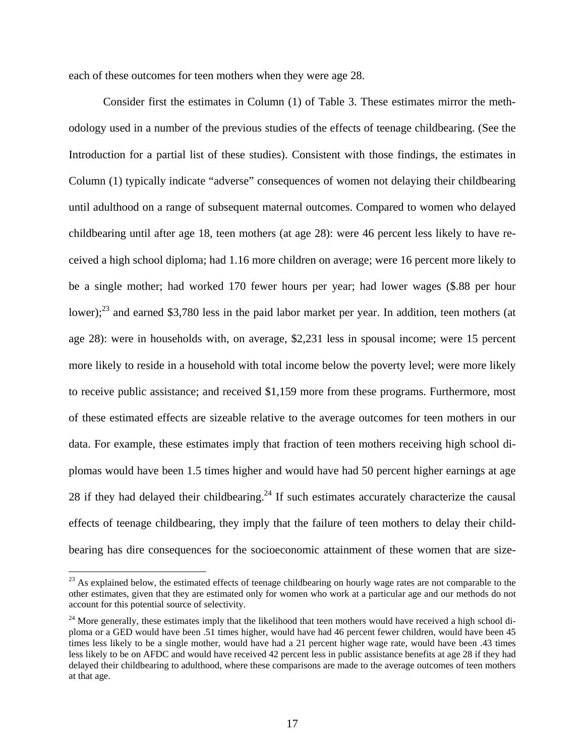each of these outcomes for teen mothers when they were age 28.

 Consider first the estimates in Column (1) of Table 3. These estimates mirror the methodology used in a number of the previous studies of the effects of teenage childbearing. (See the Introduction for a partial list of these studies). Consistent with those findings, the estimates in Column (1) typically indicate "adverse" consequences of women not delaying their childbearing until adulthood on a range of subsequent maternal outcomes. Compared to women who delayed childbearing until after age 18, teen mothers (at age 28): were 46 percent less likely to have received a high school diploma; had 1.16 more children on average; were 16 percent more likely to be a single mother; had worked 170 fewer hours per year; had lower wages (\$.88 per hour lower);<sup>23</sup> and earned \$3,780 less in the paid labor market per year. In addition, teen mothers (at age 28): were in households with, on average, \$2,231 less in spousal income; were 15 percent more likely to reside in a household with total income below the poverty level; were more likely to receive public assistance; and received \$1,159 more from these programs. Furthermore, most of these estimated effects are sizeable relative to the average outcomes for teen mothers in our data. For example, these estimates imply that fraction of teen mothers receiving high school diplomas would have been 1.5 times higher and would have had 50 percent higher earnings at age 28 if they had delayed their childbearing.<sup>24</sup> If such estimates accurately characterize the causal effects of teenage childbearing, they imply that the failure of teen mothers to delay their childbearing has dire consequences for the socioeconomic attainment of these women that are size-

<span id="page-18-0"></span><sup>&</sup>lt;sup>23</sup> As explained below, the estimated effects of teenage childbearing on hourly wage rates are not comparable to the other estimates, given that they are estimated only for women who work at a particular age and our methods do not account for this potential source of selectivity.

<span id="page-18-1"></span><sup>&</sup>lt;sup>24</sup> More generally, these estimates imply that the likelihood that teen mothers would have received a high school diploma or a GED would have been .51 times higher, would have had 46 percent fewer children, would have been 45 times less likely to be a single mother, would have had a 21 percent higher wage rate, would have been .43 times less likely to be on AFDC and would have received 42 percent less in public assistance benefits at age 28 if they had delayed their childbearing to adulthood, where these comparisons are made to the average outcomes of teen mothers at that age.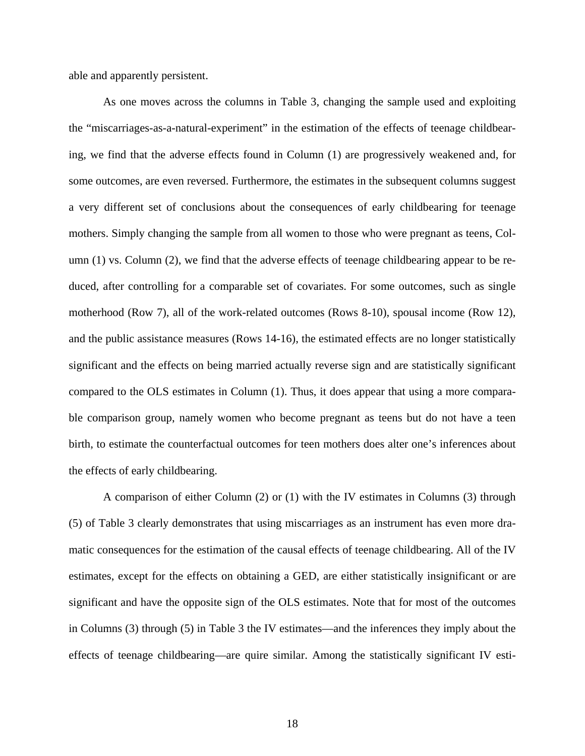able and apparently persistent.

 As one moves across the columns in Table 3, changing the sample used and exploiting the "miscarriages-as-a-natural-experiment" in the estimation of the effects of teenage childbearing, we find that the adverse effects found in Column (1) are progressively weakened and, for some outcomes, are even reversed. Furthermore, the estimates in the subsequent columns suggest a very different set of conclusions about the consequences of early childbearing for teenage mothers. Simply changing the sample from all women to those who were pregnant as teens, Column (1) vs. Column (2), we find that the adverse effects of teenage childbearing appear to be reduced, after controlling for a comparable set of covariates. For some outcomes, such as single motherhood (Row 7), all of the work-related outcomes (Rows 8-10), spousal income (Row 12), and the public assistance measures (Rows 14-16), the estimated effects are no longer statistically significant and the effects on being married actually reverse sign and are statistically significant compared to the OLS estimates in Column (1). Thus, it does appear that using a more comparable comparison group, namely women who become pregnant as teens but do not have a teen birth, to estimate the counterfactual outcomes for teen mothers does alter one's inferences about the effects of early childbearing.

 A comparison of either Column (2) or (1) with the IV estimates in Columns (3) through (5) of Table 3 clearly demonstrates that using miscarriages as an instrument has even more dramatic consequences for the estimation of the causal effects of teenage childbearing. All of the IV estimates, except for the effects on obtaining a GED, are either statistically insignificant or are significant and have the opposite sign of the OLS estimates. Note that for most of the outcomes in Columns (3) through (5) in Table 3 the IV estimates—and the inferences they imply about the effects of teenage childbearing—are quire similar. Among the statistically significant IV esti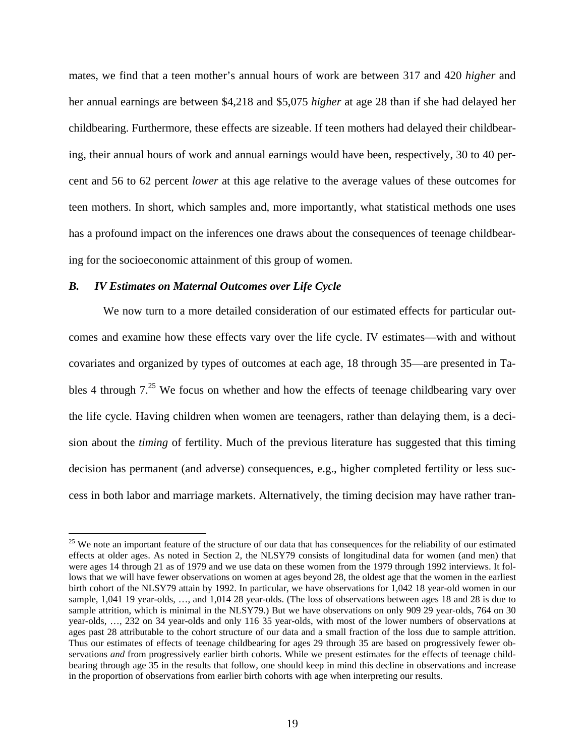mates, we find that a teen mother's annual hours of work are between 317 and 420 *higher* and her annual earnings are between \$4,218 and \$5,075 *higher* at age 28 than if she had delayed her childbearing. Furthermore, these effects are sizeable. If teen mothers had delayed their childbearing, their annual hours of work and annual earnings would have been, respectively, 30 to 40 percent and 56 to 62 percent *lower* at this age relative to the average values of these outcomes for teen mothers. In short, which samples and, more importantly, what statistical methods one uses has a profound impact on the inferences one draws about the consequences of teenage childbearing for the socioeconomic attainment of this group of women.

### *B. IV Estimates on Maternal Outcomes over Life Cycle*

 $\overline{a}$ 

 We now turn to a more detailed consideration of our estimated effects for particular outcomes and examine how these effects vary over the life cycle. IV estimates—with and without covariates and organized by types of outcomes at each age, 18 through 35—are presented in Tables 4 through  $7<sup>25</sup>$  We focus on whether and how the effects of teenage childbearing vary over the life cycle. Having children when women are teenagers, rather than delaying them, is a decision about the *timing* of fertility. Much of the previous literature has suggested that this timing decision has permanent (and adverse) consequences, e.g., higher completed fertility or less success in both labor and marriage markets. Alternatively, the timing decision may have rather tran-

<span id="page-20-0"></span><sup>&</sup>lt;sup>25</sup> We note an important feature of the structure of our data that has consequences for the reliability of our estimated effects at older ages. As noted in Section 2, the NLSY79 consists of longitudinal data for women (and men) that were ages 14 through 21 as of 1979 and we use data on these women from the 1979 through 1992 interviews. It follows that we will have fewer observations on women at ages beyond 28, the oldest age that the women in the earliest birth cohort of the NLSY79 attain by 1992. In particular, we have observations for 1,042 18 year-old women in our sample, 1,041 19 year-olds, …, and 1,014 28 year-olds. (The loss of observations between ages 18 and 28 is due to sample attrition, which is minimal in the NLSY79.) But we have observations on only 909 29 year-olds, 764 on 30 year-olds, …, 232 on 34 year-olds and only 116 35 year-olds, with most of the lower numbers of observations at ages past 28 attributable to the cohort structure of our data and a small fraction of the loss due to sample attrition. Thus our estimates of effects of teenage childbearing for ages 29 through 35 are based on progressively fewer observations *and* from progressively earlier birth cohorts. While we present estimates for the effects of teenage childbearing through age 35 in the results that follow, one should keep in mind this decline in observations and increase in the proportion of observations from earlier birth cohorts with age when interpreting our results.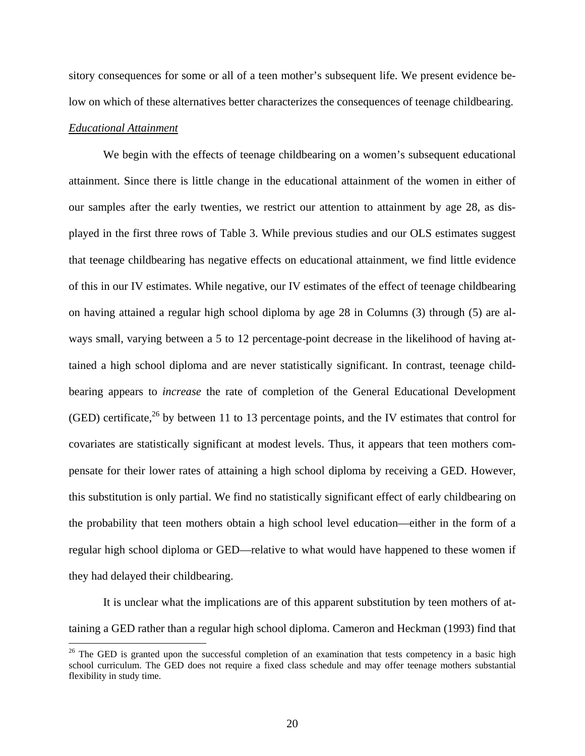sitory consequences for some or all of a teen mother's subsequent life. We present evidence below on which of these alternatives better characterizes the consequences of teenage childbearing. *Educational Attainment*

 We begin with the effects of teenage childbearing on a women's subsequent educational attainment. Since there is little change in the educational attainment of the women in either of our samples after the early twenties, we restrict our attention to attainment by age 28, as displayed in the first three rows of Table 3. While previous studies and our OLS estimates suggest that teenage childbearing has negative effects on educational attainment, we find little evidence of this in our IV estimates. While negative, our IV estimates of the effect of teenage childbearing on having attained a regular high school diploma by age 28 in Columns (3) through (5) are always small, varying between a 5 to 12 percentage-point decrease in the likelihood of having attained a high school diploma and are never statistically significant. In contrast, teenage childbearing appears to *increase* the rate of completion of the General Educational Development (GED) certificate,<sup>26</sup> by between 11 to 13 percentage points, and the IV estimates that control for covariates are statistically significant at modest levels. Thus, it appears that teen mothers compensate for their lower rates of attaining a high school diploma by receiving a GED. However, this substitution is only partial. We find no statistically significant effect of early childbearing on the probability that teen mothers obtain a high school level education—either in the form of a regular high school diploma or GED—relative to what would have happened to these women if they had delayed their childbearing.

 It is unclear what the implications are of this apparent substitution by teen mothers of attaining a GED rather than a regular high school diploma. Cameron and Heckman (1993) find that

<span id="page-21-0"></span> $26$  The GED is granted upon the successful completion of an examination that tests competency in a basic high school curriculum. The GED does not require a fixed class schedule and may offer teenage mothers substantial flexibility in study time.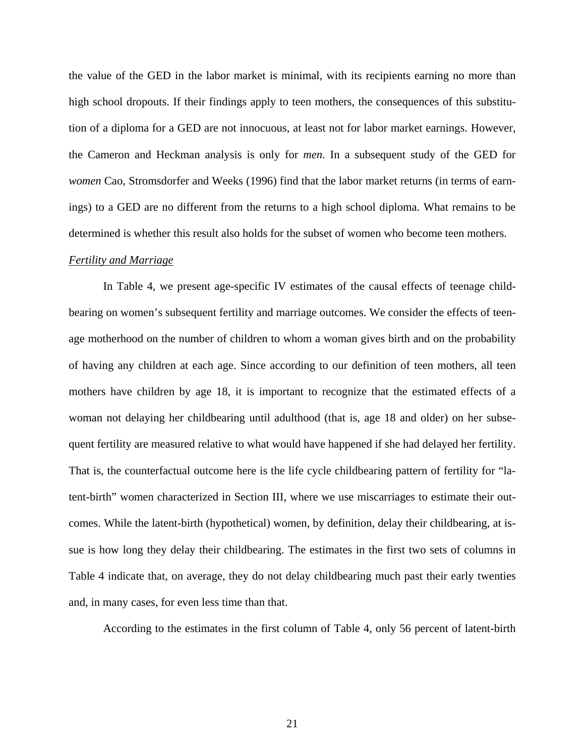the value of the GED in the labor market is minimal, with its recipients earning no more than high school dropouts. If their findings apply to teen mothers, the consequences of this substitution of a diploma for a GED are not innocuous, at least not for labor market earnings. However, the Cameron and Heckman analysis is only for *men*. In a subsequent study of the GED for *women* Cao, Stromsdorfer and Weeks (1996) find that the labor market returns (in terms of earnings) to a GED are no different from the returns to a high school diploma. What remains to be determined is whether this result also holds for the subset of women who become teen mothers.

#### *Fertility and Marriage*

 In Table 4, we present age-specific IV estimates of the causal effects of teenage childbearing on women's subsequent fertility and marriage outcomes. We consider the effects of teenage motherhood on the number of children to whom a woman gives birth and on the probability of having any children at each age. Since according to our definition of teen mothers, all teen mothers have children by age 18, it is important to recognize that the estimated effects of a woman not delaying her childbearing until adulthood (that is, age 18 and older) on her subsequent fertility are measured relative to what would have happened if she had delayed her fertility. That is, the counterfactual outcome here is the life cycle childbearing pattern of fertility for "latent-birth" women characterized in Section III, where we use miscarriages to estimate their outcomes. While the latent-birth (hypothetical) women, by definition, delay their childbearing, at issue is how long they delay their childbearing. The estimates in the first two sets of columns in Table 4 indicate that, on average, they do not delay childbearing much past their early twenties and, in many cases, for even less time than that.

According to the estimates in the first column of Table 4, only 56 percent of latent-birth

21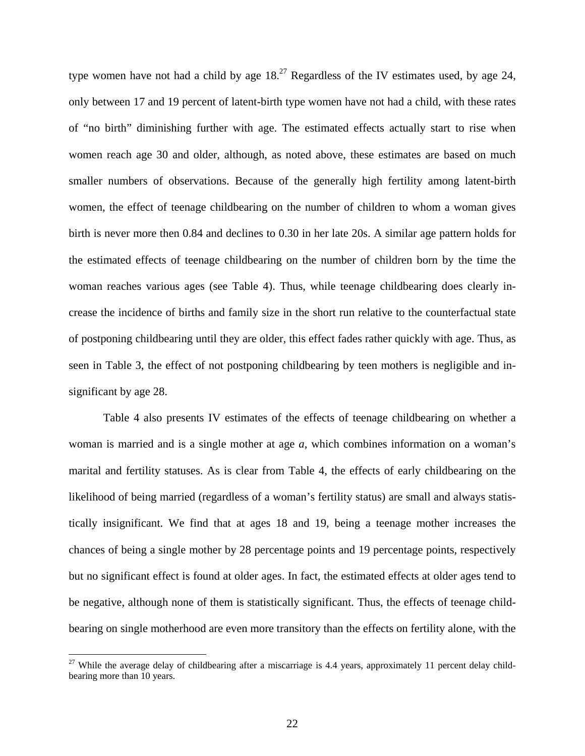type women have not had a child by age  $18<sup>27</sup>$  Regardless of the IV estimates used, by age 24, only between 17 and 19 percent of latent-birth type women have not had a child, with these rates of "no birth" diminishing further with age. The estimated effects actually start to rise when women reach age 30 and older, although, as noted above, these estimates are based on much smaller numbers of observations. Because of the generally high fertility among latent-birth women, the effect of teenage childbearing on the number of children to whom a woman gives birth is never more then 0.84 and declines to 0.30 in her late 20s. A similar age pattern holds for the estimated effects of teenage childbearing on the number of children born by the time the woman reaches various ages (see Table 4). Thus, while teenage childbearing does clearly increase the incidence of births and family size in the short run relative to the counterfactual state of postponing childbearing until they are older, this effect fades rather quickly with age. Thus, as seen in Table 3, the effect of not postponing childbearing by teen mothers is negligible and insignificant by age 28.

 Table 4 also presents IV estimates of the effects of teenage childbearing on whether a woman is married and is a single mother at age *a*, which combines information on a woman's marital and fertility statuses. As is clear from Table 4, the effects of early childbearing on the likelihood of being married (regardless of a woman's fertility status) are small and always statistically insignificant. We find that at ages 18 and 19, being a teenage mother increases the chances of being a single mother by 28 percentage points and 19 percentage points, respectively but no significant effect is found at older ages. In fact, the estimated effects at older ages tend to be negative, although none of them is statistically significant. Thus, the effects of teenage childbearing on single motherhood are even more transitory than the effects on fertility alone, with the

<span id="page-23-0"></span><sup>&</sup>lt;sup>27</sup> While the average delay of childbearing after a miscarriage is 4.4 years, approximately 11 percent delay childbearing more than 10 years.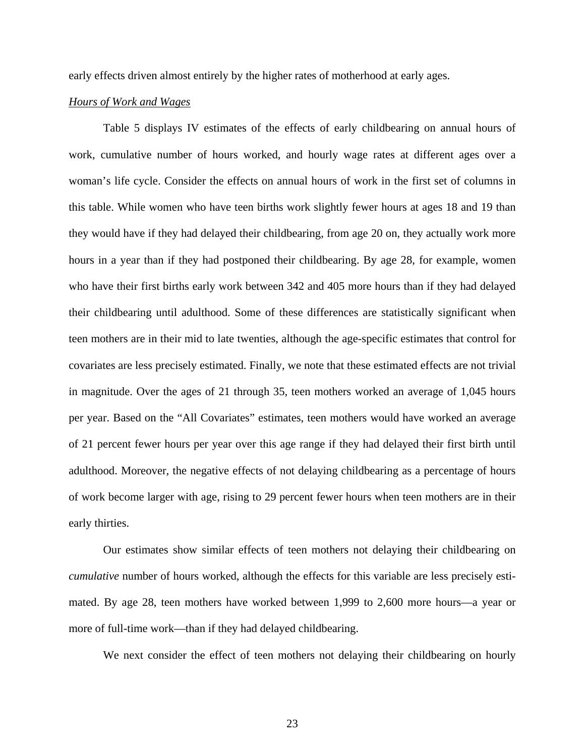early effects driven almost entirely by the higher rates of motherhood at early ages.

## *Hours of Work and Wages*

Table 5 displays IV estimates of the effects of early childbearing on annual hours of work, cumulative number of hours worked, and hourly wage rates at different ages over a woman's life cycle. Consider the effects on annual hours of work in the first set of columns in this table. While women who have teen births work slightly fewer hours at ages 18 and 19 than they would have if they had delayed their childbearing, from age 20 on, they actually work more hours in a year than if they had postponed their childbearing. By age 28, for example, women who have their first births early work between 342 and 405 more hours than if they had delayed their childbearing until adulthood. Some of these differences are statistically significant when teen mothers are in their mid to late twenties, although the age-specific estimates that control for covariates are less precisely estimated. Finally, we note that these estimated effects are not trivial in magnitude. Over the ages of 21 through 35, teen mothers worked an average of 1,045 hours per year. Based on the "All Covariates" estimates, teen mothers would have worked an average of 21 percent fewer hours per year over this age range if they had delayed their first birth until adulthood. Moreover, the negative effects of not delaying childbearing as a percentage of hours of work become larger with age, rising to 29 percent fewer hours when teen mothers are in their early thirties.

Our estimates show similar effects of teen mothers not delaying their childbearing on *cumulative* number of hours worked, although the effects for this variable are less precisely estimated. By age 28, teen mothers have worked between 1,999 to 2,600 more hours—a year or more of full-time work—than if they had delayed childbearing.

We next consider the effect of teen mothers not delaying their childbearing on hourly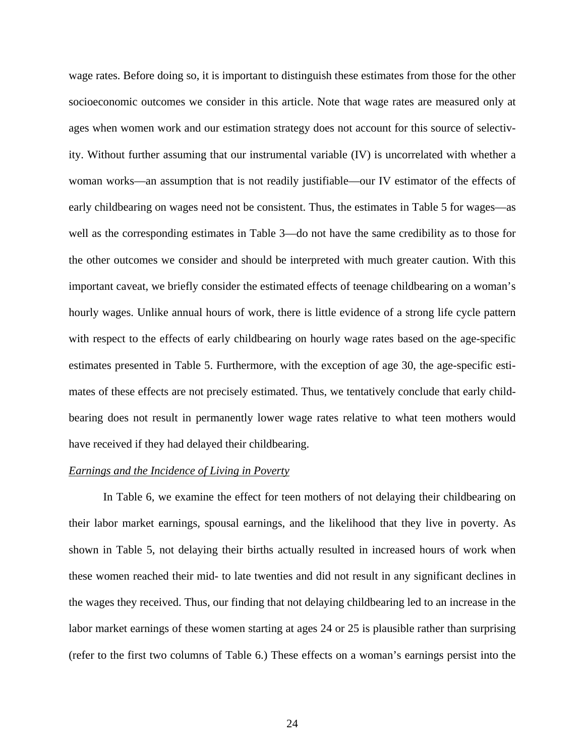wage rates. Before doing so, it is important to distinguish these estimates from those for the other socioeconomic outcomes we consider in this article. Note that wage rates are measured only at ages when women work and our estimation strategy does not account for this source of selectivity. Without further assuming that our instrumental variable (IV) is uncorrelated with whether a woman works—an assumption that is not readily justifiable—our IV estimator of the effects of early childbearing on wages need not be consistent. Thus, the estimates in Table 5 for wages—as well as the corresponding estimates in Table 3—do not have the same credibility as to those for the other outcomes we consider and should be interpreted with much greater caution. With this important caveat, we briefly consider the estimated effects of teenage childbearing on a woman's hourly wages. Unlike annual hours of work, there is little evidence of a strong life cycle pattern with respect to the effects of early childbearing on hourly wage rates based on the age-specific estimates presented in Table 5. Furthermore, with the exception of age 30, the age-specific estimates of these effects are not precisely estimated. Thus, we tentatively conclude that early childbearing does not result in permanently lower wage rates relative to what teen mothers would have received if they had delayed their childbearing.

## *Earnings and the Incidence of Living in Poverty*

 In Table 6, we examine the effect for teen mothers of not delaying their childbearing on their labor market earnings, spousal earnings, and the likelihood that they live in poverty. As shown in Table 5, not delaying their births actually resulted in increased hours of work when these women reached their mid- to late twenties and did not result in any significant declines in the wages they received. Thus, our finding that not delaying childbearing led to an increase in the labor market earnings of these women starting at ages 24 or 25 is plausible rather than surprising (refer to the first two columns of Table 6.) These effects on a woman's earnings persist into the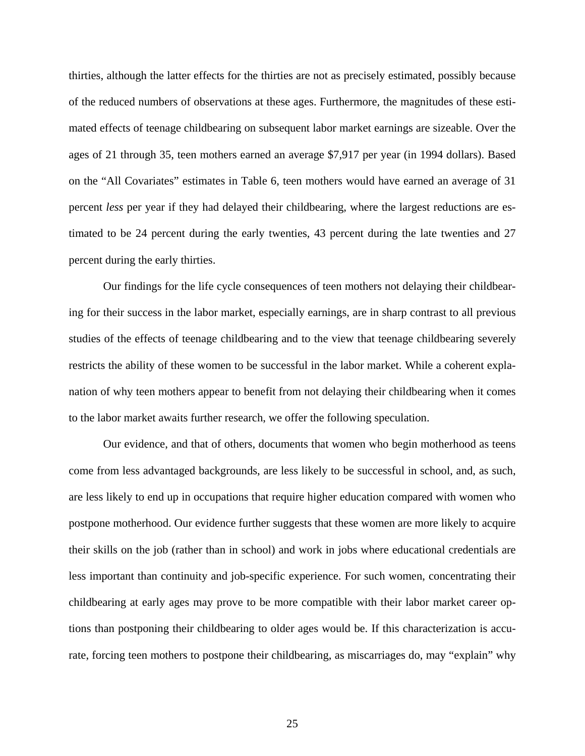thirties, although the latter effects for the thirties are not as precisely estimated, possibly because of the reduced numbers of observations at these ages. Furthermore, the magnitudes of these estimated effects of teenage childbearing on subsequent labor market earnings are sizeable. Over the ages of 21 through 35, teen mothers earned an average \$7,917 per year (in 1994 dollars). Based on the "All Covariates" estimates in Table 6, teen mothers would have earned an average of 31 percent *less* per year if they had delayed their childbearing, where the largest reductions are estimated to be 24 percent during the early twenties, 43 percent during the late twenties and 27 percent during the early thirties.

 Our findings for the life cycle consequences of teen mothers not delaying their childbearing for their success in the labor market, especially earnings, are in sharp contrast to all previous studies of the effects of teenage childbearing and to the view that teenage childbearing severely restricts the ability of these women to be successful in the labor market. While a coherent explanation of why teen mothers appear to benefit from not delaying their childbearing when it comes to the labor market awaits further research, we offer the following speculation.

 Our evidence, and that of others, documents that women who begin motherhood as teens come from less advantaged backgrounds, are less likely to be successful in school, and, as such, are less likely to end up in occupations that require higher education compared with women who postpone motherhood. Our evidence further suggests that these women are more likely to acquire their skills on the job (rather than in school) and work in jobs where educational credentials are less important than continuity and job-specific experience. For such women, concentrating their childbearing at early ages may prove to be more compatible with their labor market career options than postponing their childbearing to older ages would be. If this characterization is accurate, forcing teen mothers to postpone their childbearing, as miscarriages do, may "explain" why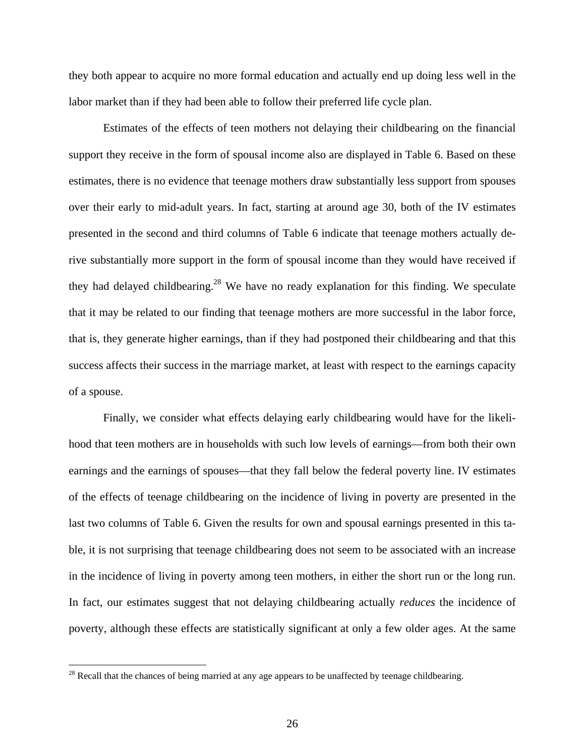they both appear to acquire no more formal education and actually end up doing less well in the labor market than if they had been able to follow their preferred life cycle plan.

 Estimates of the effects of teen mothers not delaying their childbearing on the financial support they receive in the form of spousal income also are displayed in Table 6. Based on these estimates, there is no evidence that teenage mothers draw substantially less support from spouses over their early to mid-adult years. In fact, starting at around age 30, both of the IV estimates presented in the second and third columns of Table 6 indicate that teenage mothers actually derive substantially more support in the form of spousal income than they would have received if they had delayed childbearing.<sup>28</sup> We have no ready explanation for this finding. We speculate that it may be related to our finding that teenage mothers are more successful in the labor force, that is, they generate higher earnings, than if they had postponed their childbearing and that this success affects their success in the marriage market, at least with respect to the earnings capacity of a spouse.

 Finally, we consider what effects delaying early childbearing would have for the likelihood that teen mothers are in households with such low levels of earnings—from both their own earnings and the earnings of spouses—that they fall below the federal poverty line. IV estimates of the effects of teenage childbearing on the incidence of living in poverty are presented in the last two columns of Table 6. Given the results for own and spousal earnings presented in this table, it is not surprising that teenage childbearing does not seem to be associated with an increase in the incidence of living in poverty among teen mothers, in either the short run or the long run. In fact, our estimates suggest that not delaying childbearing actually *reduces* the incidence of poverty, although these effects are statistically significant at only a few older ages. At the same

<span id="page-27-0"></span> $28$  Recall that the chances of being married at any age appears to be unaffected by teenage childbearing.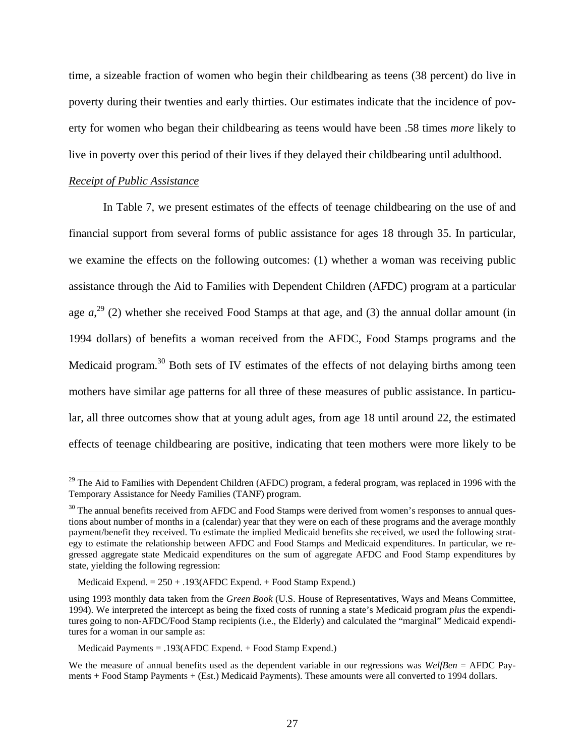time, a sizeable fraction of women who begin their childbearing as teens (38 percent) do live in poverty during their twenties and early thirties. Our estimates indicate that the incidence of poverty for women who began their childbearing as teens would have been .58 times *more* likely to live in poverty over this period of their lives if they delayed their childbearing until adulthood.

#### *Receipt of Public Assistance*

 $\overline{a}$ 

 In Table 7, we present estimates of the effects of teenage childbearing on the use of and financial support from several forms of public assistance for ages 18 through 35. In particular, we examine the effects on the following outcomes: (1) whether a woman was receiving public assistance through the Aid to Families with Dependent Children (AFDC) program at a particular age  $a^{29}$  (2) whether she received Food Stamps at that age, and (3) the annual dollar amount (in 1994 dollars) of benefits a woman received from the AFDC, Food Stamps programs and the Medicaid program.<sup>30</sup> Both sets of IV estimates of the effects of not delaying births among teen mothers have similar age patterns for all three of these measures of public assistance. In particular, all three outcomes show that at young adult ages, from age 18 until around 22, the estimated effects of teenage childbearing are positive, indicating that teen mothers were more likely to be

<span id="page-28-0"></span><sup>&</sup>lt;sup>29</sup> The Aid to Families with Dependent Children (AFDC) program, a federal program, was replaced in 1996 with the Temporary Assistance for Needy Families (TANF) program.

<span id="page-28-1"></span><sup>&</sup>lt;sup>30</sup> The annual benefits received from AFDC and Food Stamps were derived from women's responses to annual questions about number of months in a (calendar) year that they were on each of these programs and the average monthly payment/benefit they received. To estimate the implied Medicaid benefits she received, we used the following strategy to estimate the relationship between AFDC and Food Stamps and Medicaid expenditures. In particular, we regressed aggregate state Medicaid expenditures on the sum of aggregate AFDC and Food Stamp expenditures by state, yielding the following regression:

Medicaid Expend. = 250 + .193(AFDC Expend. + Food Stamp Expend.)

using 1993 monthly data taken from the *Green Book* (U.S. House of Representatives, Ways and Means Committee, 1994). We interpreted the intercept as being the fixed costs of running a state's Medicaid program *plus* the expenditures going to non-AFDC/Food Stamp recipients (i.e., the Elderly) and calculated the "marginal" Medicaid expenditures for a woman in our sample as:

Medicaid Payments = .193(AFDC Expend. + Food Stamp Expend.)

We the measure of annual benefits used as the dependent variable in our regressions was *WelfBen* = AFDC Payments + Food Stamp Payments + (Est.) Medicaid Payments). These amounts were all converted to 1994 dollars.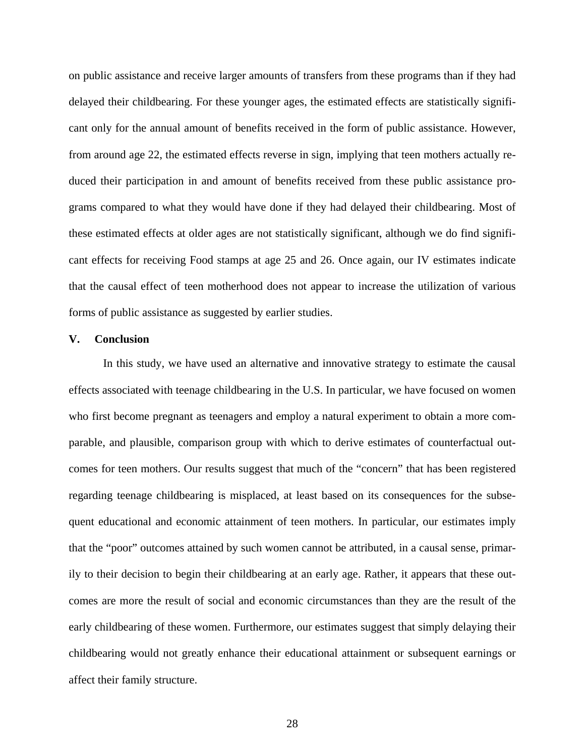on public assistance and receive larger amounts of transfers from these programs than if they had delayed their childbearing. For these younger ages, the estimated effects are statistically significant only for the annual amount of benefits received in the form of public assistance. However, from around age 22, the estimated effects reverse in sign, implying that teen mothers actually reduced their participation in and amount of benefits received from these public assistance programs compared to what they would have done if they had delayed their childbearing. Most of these estimated effects at older ages are not statistically significant, although we do find significant effects for receiving Food stamps at age 25 and 26. Once again, our IV estimates indicate that the causal effect of teen motherhood does not appear to increase the utilization of various forms of public assistance as suggested by earlier studies.

### **V. Conclusion**

 In this study, we have used an alternative and innovative strategy to estimate the causal effects associated with teenage childbearing in the U.S. In particular, we have focused on women who first become pregnant as teenagers and employ a natural experiment to obtain a more comparable, and plausible, comparison group with which to derive estimates of counterfactual outcomes for teen mothers. Our results suggest that much of the "concern" that has been registered regarding teenage childbearing is misplaced, at least based on its consequences for the subsequent educational and economic attainment of teen mothers. In particular, our estimates imply that the "poor" outcomes attained by such women cannot be attributed, in a causal sense, primarily to their decision to begin their childbearing at an early age. Rather, it appears that these outcomes are more the result of social and economic circumstances than they are the result of the early childbearing of these women. Furthermore, our estimates suggest that simply delaying their childbearing would not greatly enhance their educational attainment or subsequent earnings or affect their family structure.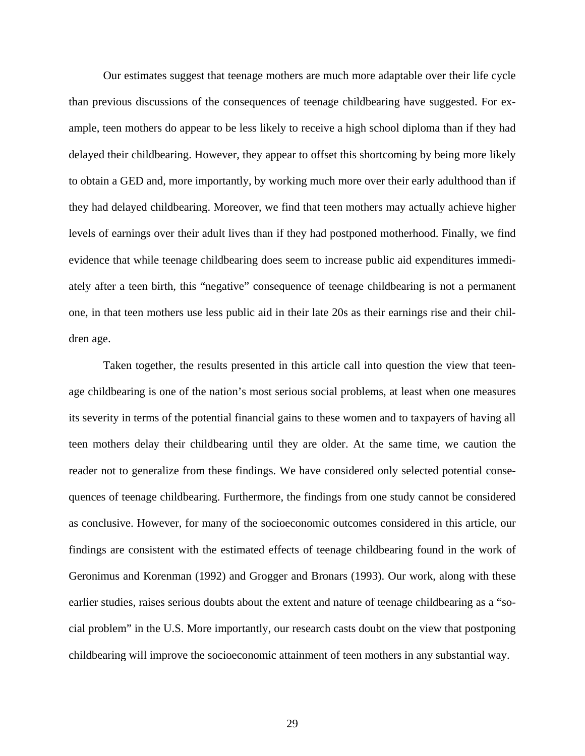Our estimates suggest that teenage mothers are much more adaptable over their life cycle than previous discussions of the consequences of teenage childbearing have suggested. For example, teen mothers do appear to be less likely to receive a high school diploma than if they had delayed their childbearing. However, they appear to offset this shortcoming by being more likely to obtain a GED and, more importantly, by working much more over their early adulthood than if they had delayed childbearing. Moreover, we find that teen mothers may actually achieve higher levels of earnings over their adult lives than if they had postponed motherhood. Finally, we find evidence that while teenage childbearing does seem to increase public aid expenditures immediately after a teen birth, this "negative" consequence of teenage childbearing is not a permanent one, in that teen mothers use less public aid in their late 20s as their earnings rise and their children age.

 Taken together, the results presented in this article call into question the view that teenage childbearing is one of the nation's most serious social problems, at least when one measures its severity in terms of the potential financial gains to these women and to taxpayers of having all teen mothers delay their childbearing until they are older. At the same time, we caution the reader not to generalize from these findings. We have considered only selected potential consequences of teenage childbearing. Furthermore, the findings from one study cannot be considered as conclusive. However, for many of the socioeconomic outcomes considered in this article, our findings are consistent with the estimated effects of teenage childbearing found in the work of Geronimus and Korenman (1992) and Grogger and Bronars (1993). Our work, along with these earlier studies, raises serious doubts about the extent and nature of teenage childbearing as a "social problem" in the U.S. More importantly, our research casts doubt on the view that postponing childbearing will improve the socioeconomic attainment of teen mothers in any substantial way.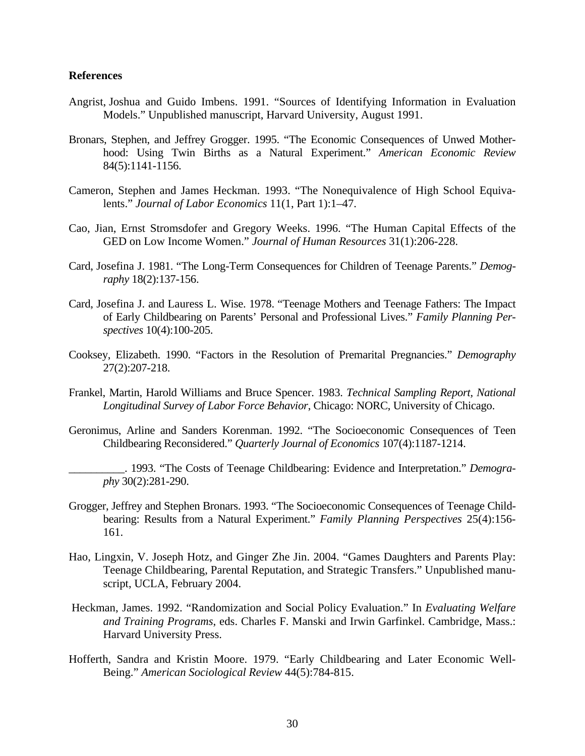#### **References**

- Angrist, Joshua and Guido Imbens. 1991. "Sources of Identifying Information in Evaluation Models." Unpublished manuscript, Harvard University, August 1991.
- Bronars, Stephen, and Jeffrey Grogger. 1995. "The Economic Consequences of Unwed Motherhood: Using Twin Births as a Natural Experiment." *American Economic Review* 84(5):1141-1156.
- Cameron, Stephen and James Heckman. 1993. "The Nonequivalence of High School Equivalents." *Journal of Labor Economics* 11(1, Part 1):1–47.
- Cao, Jian, Ernst Stromsdofer and Gregory Weeks. 1996. "The Human Capital Effects of the GED on Low Income Women." *Journal of Human Resources* 31(1):206-228.
- Card, Josefina J. 1981. "The Long-Term Consequences for Children of Teenage Parents." *Demography* 18(2):137-156.
- Card, Josefina J. and Lauress L. Wise. 1978. "Teenage Mothers and Teenage Fathers: The Impact of Early Childbearing on Parents' Personal and Professional Lives." *Family Planning Perspectives* 10(4):100-205.
- Cooksey, Elizabeth. 1990. "Factors in the Resolution of Premarital Pregnancies." *Demography* 27(2):207-218.
- Frankel, Martin, Harold Williams and Bruce Spencer. 1983. *Technical Sampling Report, National Longitudinal Survey of Labor Force Behavior*, Chicago: NORC, University of Chicago.
- Geronimus, Arline and Sanders Korenman. 1992. "The Socioeconomic Consequences of Teen Childbearing Reconsidered." *Quarterly Journal of Economics* 107(4):1187-1214.
	- \_\_\_\_\_\_\_\_\_\_. 1993. "The Costs of Teenage Childbearing: Evidence and Interpretation." *Demography* 30(2):281-290.
- Grogger, Jeffrey and Stephen Bronars. 1993. "The Socioeconomic Consequences of Teenage Childbearing: Results from a Natural Experiment." *Family Planning Perspectives* 25(4):156- 161.
- Hao, Lingxin, V. Joseph Hotz, and Ginger Zhe Jin. 2004. "Games Daughters and Parents Play: Teenage Childbearing, Parental Reputation, and Strategic Transfers." Unpublished manuscript, UCLA, February 2004.
- Heckman, James. 1992. "Randomization and Social Policy Evaluation." In *Evaluating Welfare and Training Programs*, eds. Charles F. Manski and Irwin Garfinkel. Cambridge, Mass.: Harvard University Press.
- Hofferth, Sandra and Kristin Moore. 1979. "Early Childbearing and Later Economic Well-Being." *American Sociological Review* 44(5):784-815.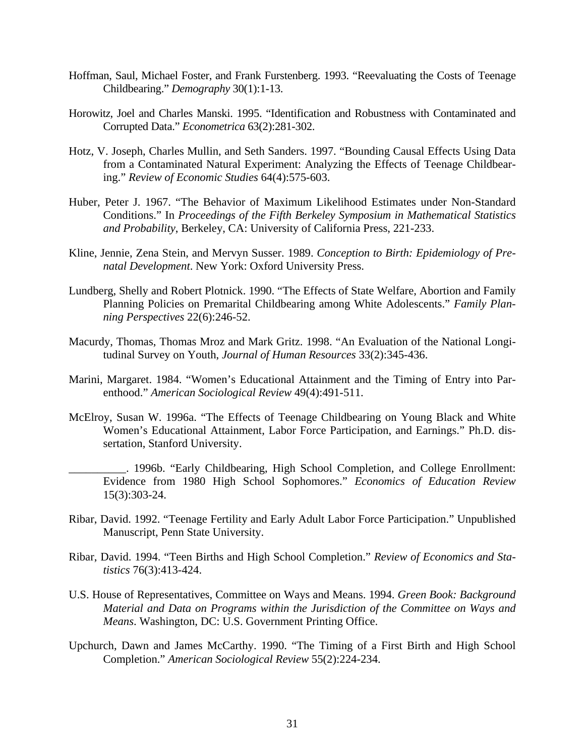- Hoffman, Saul, Michael Foster, and Frank Furstenberg. 1993. "Reevaluating the Costs of Teenage Childbearing." *Demography* 30(1):1-13.
- Horowit*z*, Joel and Charles Manski. 1995. "Identification and Robustness with Contaminated and Corrupted Data." *Econometrica* 63(2):281-302.
- Hotz, V. Joseph, Charles Mullin, and Seth Sanders. 1997. "Bounding Causal Effects Using Data from a Contaminated Natural Experiment: Analyzing the Effects of Teenage Childbearing." *Review of Economic Studies* 64(4):575-603.
- Huber, Peter J. 1967. "The Behavior of Maximum Likelihood Estimates under Non-Standard Conditions." In *Proceedings of the Fifth Berkeley Symposium in Mathematical Statistics and Probability*, Berkeley, CA: University of California Press, 221-233.
- Kline, Jennie, Zena Stein, and Mervyn Susser. 1989. *Conception to Birth: Epidemiology of Prenatal Development*. New York: Oxford University Press.
- Lundberg, Shelly and Robert Plotnick. 1990. "The Effects of State Welfare, Abortion and Family Planning Policies on Premarital Childbearing among White Adolescents." *Family Planning Perspectives* 22(6):246-52.
- Macurdy, Thomas, Thomas Mroz and Mark Gritz. 1998. "An Evaluation of the National Longitudinal Survey on Youth, *Journal of Human Resources* 33(2):345-436.
- Marini, Margaret. 1984. "Women's Educational Attainment and the Timing of Entry into Parenthood." *American Sociological Review* 49(4):491-511.
- McElroy, Susan W. 1996a. "The Effects of Teenage Childbearing on Young Black and White Women's Educational Attainment, Labor Force Participation, and Earnings." Ph.D. dissertation, Stanford University.
	- \_\_\_\_\_\_\_\_\_\_. 1996b. "Early Childbearing, High School Completion, and College Enrollment: Evidence from 1980 High School Sophomores." *Economics of Education Review* 15(3):303-24.
- Ribar, David. 1992. "Teenage Fertility and Early Adult Labor Force Participation." Unpublished Manuscript, Penn State University.
- Ribar, David. 1994. "Teen Births and High School Completion." *Review of Economics and Statistics* 76(3):413-424.
- U.S. House of Representatives, Committee on Ways and Means. 1994. *Green Book: Background Material and Data on Programs within the Jurisdiction of the Committee on Ways and Means*. Washington, DC: U.S. Government Printing Office.
- Upchurch, Dawn and James McCarthy. 1990. "The Timing of a First Birth and High School Completion." *American Sociological Review* 55(2):224-234.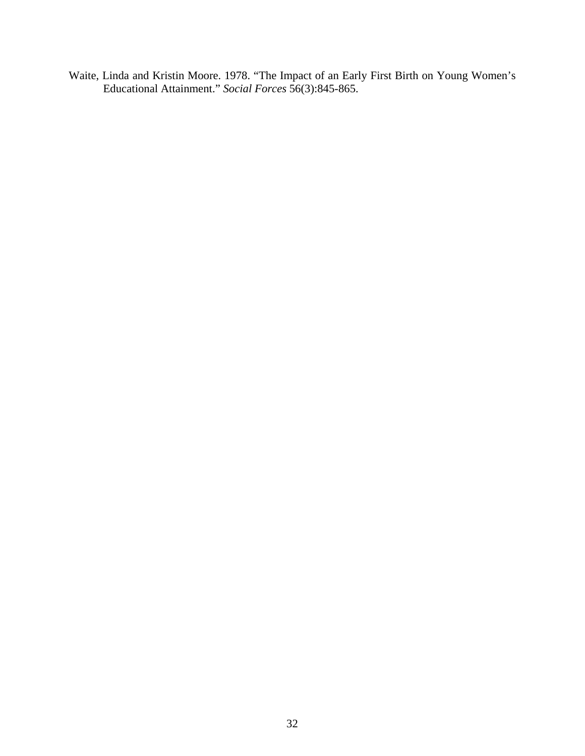Waite, Linda and Kristin Moore. 1978. "The Impact of an Early First Birth on Young Women's Educational Attainment." *Social Forces* 56(3):845-865.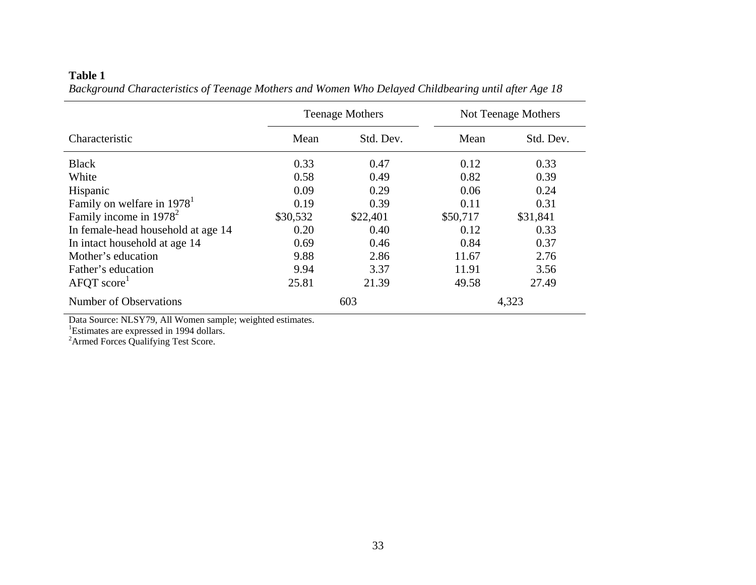|                                        | <b>Teenage Mothers</b> |           | Not Teenage Mothers |           |
|----------------------------------------|------------------------|-----------|---------------------|-----------|
| Characteristic                         | Mean                   | Std. Dev. | Mean                | Std. Dev. |
| <b>Black</b>                           | 0.33                   | 0.47      | 0.12                | 0.33      |
| White                                  | 0.58                   | 0.49      | 0.82                | 0.39      |
| Hispanic                               | 0.09                   | 0.29      | 0.06                | 0.24      |
| Family on welfare in 1978 <sup>1</sup> | 0.19                   | 0.39      | 0.11                | 0.31      |
| Family income in $1978^2$              | \$30,532               | \$22,401  | \$50,717            | \$31,841  |
| In female-head household at age 14     | 0.20                   | 0.40      | 0.12                | 0.33      |
| In intact household at age 14          | 0.69                   | 0.46      | 0.84                | 0.37      |
| Mother's education                     | 9.88                   | 2.86      | 11.67               | 2.76      |
| Father's education                     | 9.94                   | 3.37      | 11.91               | 3.56      |
| AFQT score                             | 25.81                  | 21.39     | 49.58               | 27.49     |
| Number of Observations                 |                        | 603       |                     | 4,323     |

### **Table 1**  *Background Characteristics of Teenage Mothers and Women Who Delayed Childbearing until after Age 18*

Data Source: NLSY79, All Women sample; weighted estimates.

<sup>1</sup>Estimates are expressed in 1994 dollars.

<sup>2</sup>Armed Forces Qualifying Test Score.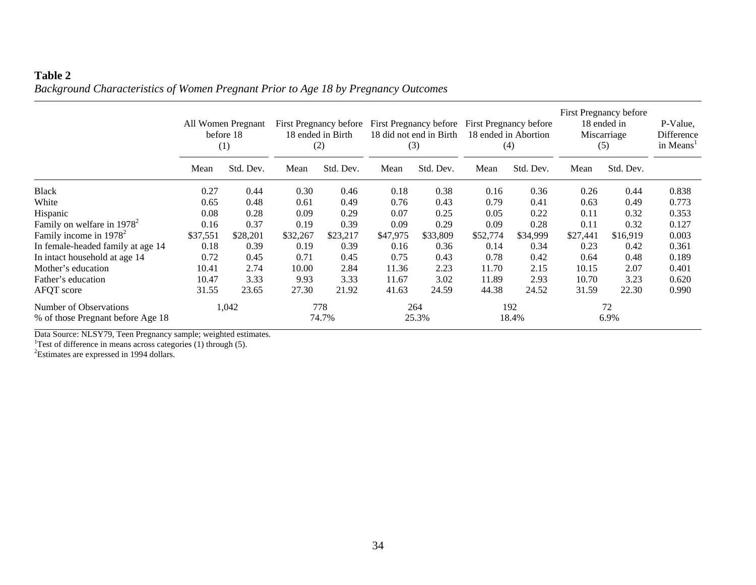# **Table 2**  *Background Characteristics of Women Pregnant Prior to Age 18 by Pregnancy Outcomes*

|                                                             | All Women Pregnant<br>before 18<br>(1) |           | First Pregnancy before<br>18 ended in Birth<br>(2) |              | First Pregnancy before<br>18 did not end in Birth<br>(3) |              | First Pregnancy before<br>18 ended in Abortion<br>(4) |              | First Pregnancy before<br>18 ended in<br>Miscarriage<br>(5) |            | P-Value,<br>Difference<br>in Means <sup>1</sup> |
|-------------------------------------------------------------|----------------------------------------|-----------|----------------------------------------------------|--------------|----------------------------------------------------------|--------------|-------------------------------------------------------|--------------|-------------------------------------------------------------|------------|-------------------------------------------------|
|                                                             | Mean                                   | Std. Dev. | Mean                                               | Std. Dev.    | Mean                                                     | Std. Dev.    | Mean                                                  | Std. Dev.    | Mean                                                        | Std. Dev.  |                                                 |
| <b>Black</b>                                                | 0.27                                   | 0.44      | 0.30                                               | 0.46         | 0.18                                                     | 0.38         | 0.16                                                  | 0.36         | 0.26                                                        | 0.44       | 0.838                                           |
| White                                                       | 0.65                                   | 0.48      | 0.61                                               | 0.49         | 0.76                                                     | 0.43         | 0.79                                                  | 0.41         | 0.63                                                        | 0.49       | 0.773                                           |
| Hispanic                                                    | 0.08                                   | 0.28      | 0.09                                               | 0.29         | 0.07                                                     | 0.25         | 0.05                                                  | 0.22         | 0.11                                                        | 0.32       | 0.353                                           |
| Family on welfare in $1978^2$                               | 0.16                                   | 0.37      | 0.19                                               | 0.39         | 0.09                                                     | 0.29         | 0.09                                                  | 0.28         | 0.11                                                        | 0.32       | 0.127                                           |
| Family income in $1978^2$                                   | \$37,551                               | \$28,201  | \$32,267                                           | \$23,217     | \$47,975                                                 | \$33,809     | \$52,774                                              | \$34,999     | \$27,441                                                    | \$16,919   | 0.003                                           |
| In female-headed family at age 14                           | 0.18                                   | 0.39      | 0.19                                               | 0.39         | 0.16                                                     | 0.36         | 0.14                                                  | 0.34         | 0.23                                                        | 0.42       | 0.361                                           |
| In intact household at age 14                               | 0.72                                   | 0.45      | 0.71                                               | 0.45         | 0.75                                                     | 0.43         | 0.78                                                  | 0.42         | 0.64                                                        | 0.48       | 0.189                                           |
| Mother's education                                          | 10.41                                  | 2.74      | 10.00                                              | 2.84         | 11.36                                                    | 2.23         | 11.70                                                 | 2.15         | 10.15                                                       | 2.07       | 0.401                                           |
| Father's education                                          | 10.47                                  | 3.33      | 9.93                                               | 3.33         | 11.67                                                    | 3.02         | 11.89                                                 | 2.93         | 10.70                                                       | 3.23       | 0.620                                           |
| AFQT score                                                  | 31.55                                  | 23.65     | 27.30                                              | 21.92        | 41.63                                                    | 24.59        | 44.38                                                 | 24.52        | 31.59                                                       | 22.30      | 0.990                                           |
| Number of Observations<br>% of those Pregnant before Age 18 |                                        | 1,042     |                                                    | 778<br>74.7% |                                                          | 264<br>25.3% |                                                       | 192<br>18.4% |                                                             | 72<br>6.9% |                                                 |

Data Source: NLSY79, Teen Pregnancy sample; weighted estimates.

<sup>1</sup>Test of difference in means across categories (1) through (5).

<sup>2</sup>Estimates are expressed in 1994 dollars.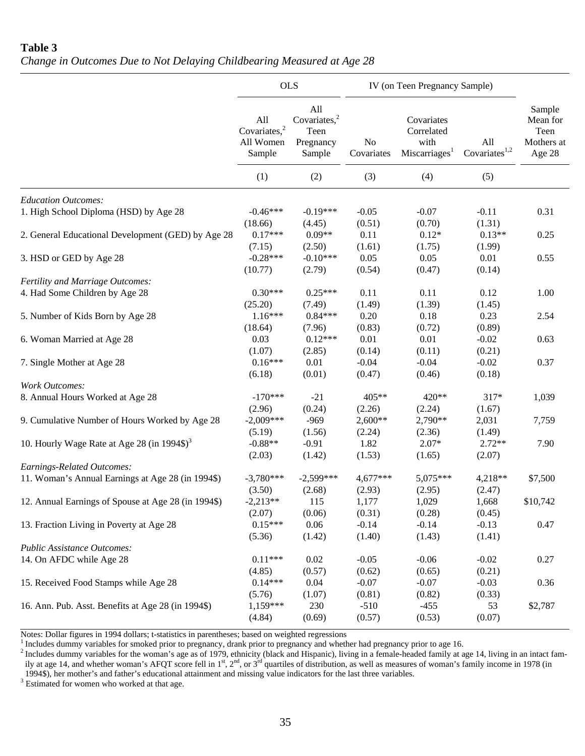**Table 3**  *Change in Outcomes Due to Not Delaying Childbearing Measured at Age 28* 

|                                                         |                                                        | <b>OLS</b>                                            | IV (on Teen Pregnancy Sample) |                                                               |                                  |                                                    |
|---------------------------------------------------------|--------------------------------------------------------|-------------------------------------------------------|-------------------------------|---------------------------------------------------------------|----------------------------------|----------------------------------------------------|
|                                                         | All<br>Covariates, <sup>2</sup><br>All Women<br>Sample | All<br>Covariates, $2$<br>Teen<br>Pregnancy<br>Sample | No<br>Covariates              | Covariates<br>Correlated<br>with<br>Miscarriages <sup>1</sup> | All<br>Covariates <sup>1,2</sup> | Sample<br>Mean for<br>Teen<br>Mothers at<br>Age 28 |
|                                                         | (1)                                                    | (2)                                                   | (3)                           | (4)                                                           | (5)                              |                                                    |
| <b>Education Outcomes:</b>                              |                                                        |                                                       |                               |                                                               |                                  |                                                    |
| 1. High School Diploma (HSD) by Age 28                  | $-0.46***$<br>(18.66)                                  | $-0.19***$<br>(4.45)                                  | $-0.05$<br>(0.51)             | $-0.07$<br>(0.70)                                             | $-0.11$<br>(1.31)                | 0.31                                               |
| 2. General Educational Development (GED) by Age 28      | $0.17***$<br>(7.15)                                    | $0.09**$<br>(2.50)                                    | 0.11<br>(1.61)                | $0.12*$<br>(1.75)                                             | $0.13**$<br>(1.99)               | 0.25                                               |
| 3. HSD or GED by Age 28                                 | $-0.28***$<br>(10.77)                                  | $-0.10***$<br>(2.79)                                  | 0.05<br>(0.54)                | 0.05<br>(0.47)                                                | 0.01<br>(0.14)                   | 0.55                                               |
| Fertility and Marriage Outcomes:                        |                                                        |                                                       |                               |                                                               |                                  |                                                    |
| 4. Had Some Children by Age 28                          | $0.30***$<br>(25.20)                                   | $0.25***$<br>(7.49)                                   | 0.11<br>(1.49)                | 0.11<br>(1.39)                                                | 0.12<br>(1.45)                   | 1.00                                               |
| 5. Number of Kids Born by Age 28                        | $1.16***$<br>(18.64)                                   | $0.84***$<br>(7.96)                                   | 0.20<br>(0.83)                | 0.18<br>(0.72)                                                | 0.23<br>(0.89)                   | 2.54                                               |
| 6. Woman Married at Age 28                              | 0.03<br>(1.07)                                         | $0.12***$<br>(2.85)                                   | 0.01<br>(0.14)                | 0.01<br>(0.11)                                                | $-0.02$<br>(0.21)                | 0.63                                               |
| 7. Single Mother at Age 28                              | $0.16***$<br>(6.18)                                    | 0.01<br>(0.01)                                        | $-0.04$<br>(0.47)             | $-0.04$<br>(0.46)                                             | $-0.02$<br>(0.18)                | 0.37                                               |
| <b>Work Outcomes:</b>                                   |                                                        |                                                       |                               |                                                               |                                  |                                                    |
| 8. Annual Hours Worked at Age 28                        | $-170***$<br>(2.96)                                    | $-21$<br>(0.24)                                       | 405**<br>(2.26)               | 420**<br>(2.24)                                               | 317*<br>(1.67)                   | 1,039                                              |
| 9. Cumulative Number of Hours Worked by Age 28          | $-2,009***$<br>(5.19)                                  | $-969$<br>(1.56)                                      | $2,600**$<br>(2.24)           | 2,790**<br>(2.36)                                             | 2,031<br>(1.49)                  | 7,759                                              |
| 10. Hourly Wage Rate at Age 28 (in 1994\$) <sup>3</sup> | $-0.88**$<br>(2.03)                                    | $-0.91$<br>(1.42)                                     | 1.82<br>(1.53)                | $2.07*$<br>(1.65)                                             | $2.72**$<br>(2.07)               | 7.90                                               |
| Earnings-Related Outcomes:                              |                                                        |                                                       |                               |                                                               |                                  |                                                    |
| 11. Woman's Annual Earnings at Age 28 (in 1994\$)       | $-3,780***$<br>(3.50)                                  | $-2,599***$<br>(2.68)                                 | $4,677***$<br>(2.93)          | 5,075***<br>(2.95)                                            | 4,218**<br>(2.47)                | \$7,500                                            |
| 12. Annual Earnings of Spouse at Age 28 (in 1994\$)     | $-2,213**$<br>(2.07)                                   | 115<br>(0.06)                                         | 1,177<br>(0.31)               | 1,029<br>(0.28)                                               | 1,668<br>(0.45)                  | \$10,742                                           |
| 13. Fraction Living in Poverty at Age 28                | $0.15***$<br>(5.36)                                    | 0.06<br>(1.42)                                        | $-0.14$<br>(1.40)             | $-0.14$<br>(1.43)                                             | $-0.13$<br>(1.41)                | 0.47                                               |
| Public Assistance Outcomes:                             |                                                        |                                                       |                               |                                                               |                                  |                                                    |
| 14. On AFDC while Age 28                                | $0.11***$<br>(4.85)                                    | 0.02<br>(0.57)                                        | $-0.05$<br>(0.62)             | $-0.06$<br>(0.65)                                             | $-0.02$<br>(0.21)                | 0.27                                               |
| 15. Received Food Stamps while Age 28                   | $0.14***$<br>(5.76)                                    | 0.04<br>(1.07)                                        | $-0.07$<br>(0.81)             | $-0.07$<br>(0.82)                                             | $-0.03$<br>(0.33)                | 0.36                                               |
| 16. Ann. Pub. Asst. Benefits at Age 28 (in 1994\$)      | $1,159***$<br>(4.84)                                   | 230<br>(0.69)                                         | $-510$<br>(0.57)              | $-455$<br>(0.53)                                              | 53<br>(0.07)                     | \$2,787                                            |

Notes: Dollar figures in 1994 dollars; t-statistics in parentheses; based on weighted regressions<br><sup>1</sup> Includes dummy variables for smoked prior to pregnancy, drank prior to pregnancy and whether had pregnancy prior to age <sup>1</sup> Includes dummy variables for smoked prior to pregnancy, drank prior to pregnancy and whether had pregnancy prior to age 16.<br><sup>2</sup> Includes dummy variables for the woman's age as of 1979, ethnicity (black and Hispanic), l

ily at age 14, and whether woman's AFQT score fell in 1<sup>st</sup>, 2<sup>nd</sup>, or 3<sup>rd</sup> quartiles of distribution, as well as measures of woman's family income in 1978 (in 1994\$), her mother's and father's educational attainment and missing value indicators for the last three variables.<br><sup>3</sup> Estimated for woman who worked at that age

<sup>3</sup> Estimated for women who worked at that age.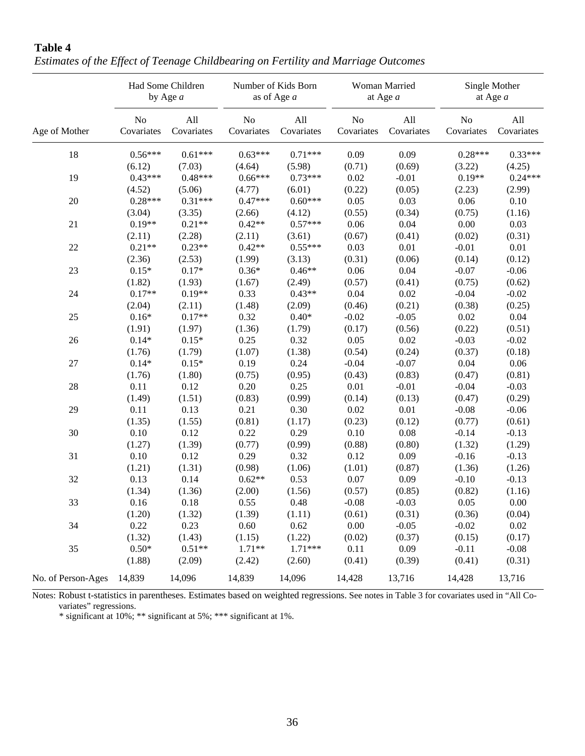|                    |                              | Had Some Children<br>by Age $a$ |                              | Number of Kids Born<br>as of Age a |                  | Woman Married<br>at Age $a$ |                  | Single Mother<br>at Age $a$ |
|--------------------|------------------------------|---------------------------------|------------------------------|------------------------------------|------------------|-----------------------------|------------------|-----------------------------|
| Age of Mother      | N <sub>o</sub><br>Covariates | All<br>Covariates               | N <sub>o</sub><br>Covariates | All<br>Covariates                  | No<br>Covariates | All<br>Covariates           | No<br>Covariates | All<br>Covariates           |
| 18                 | $0.56***$                    | $0.61***$                       | $0.63***$                    | $0.71***$                          | 0.09             | 0.09                        | $0.28***$        | $0.33***$                   |
|                    | (6.12)                       | (7.03)                          | (4.64)                       | (5.98)                             | (0.71)           | (0.69)                      | (3.22)           | (4.25)                      |
| 19                 | $0.43***$                    | $0.48***$                       | $0.66***$                    | $0.73***$                          | 0.02             | $-0.01$                     | $0.19**$         | $0.24***$                   |
|                    | (4.52)                       | (5.06)                          | (4.77)                       | (6.01)                             | (0.22)           | (0.05)                      | (2.23)           | (2.99)                      |
| 20                 | $0.28***$                    | $0.31***$                       | $0.47***$                    | $0.60***$                          | 0.05             | 0.03                        | 0.06             | 0.10                        |
|                    | (3.04)                       | (3.35)                          | (2.66)                       | (4.12)                             | (0.55)           | (0.34)                      | (0.75)           | (1.16)                      |
| 21                 | $0.19**$                     | $0.21**$                        | $0.42**$                     | $0.57***$                          | 0.06             | 0.04                        | 0.00             | 0.03                        |
|                    | (2.11)                       | (2.28)                          | (2.11)                       | (3.61)                             | (0.67)           | (0.41)                      | (0.02)           | (0.31)                      |
| 22                 | $0.21**$                     | $0.23**$                        | $0.42**$                     | $0.55***$                          | 0.03             | 0.01                        | $-0.01$          | 0.01                        |
|                    | (2.36)                       | (2.53)                          | (1.99)                       | (3.13)                             | (0.31)           | (0.06)                      | (0.14)           | (0.12)                      |
| 23                 | $0.15*$                      | $0.17*$                         | $0.36*$                      | $0.46**$                           | 0.06             | 0.04                        | $-0.07$          | $-0.06$                     |
|                    | (1.82)                       | (1.93)                          | (1.67)                       | (2.49)                             | (0.57)           | (0.41)                      | (0.75)           | (0.62)                      |
| 24                 | $0.17**$                     | $0.19**$                        | 0.33                         | $0.43**$                           | 0.04             | 0.02                        | $-0.04$          | $-0.02$                     |
|                    | (2.04)                       | (2.11)                          | (1.48)                       | (2.09)                             | (0.46)           | (0.21)                      | (0.38)           | (0.25)                      |
| 25                 | $0.16*$                      | $0.17**$                        | 0.32                         | $0.40*$                            | $-0.02$          | $-0.05$                     | 0.02             | 0.04                        |
|                    | (1.91)                       | (1.97)                          | (1.36)                       | (1.79)                             | (0.17)           | (0.56)                      | (0.22)           | (0.51)                      |
| 26                 | $0.14*$                      | $0.15*$                         | 0.25                         | 0.32                               | 0.05             | 0.02                        | $-0.03$          | $-0.02$                     |
|                    | (1.76)                       | (1.79)                          | (1.07)                       | (1.38)                             | (0.54)           | (0.24)                      | (0.37)           | (0.18)                      |
| 27                 | $0.14*$                      | $0.15*$                         | 0.19                         | 0.24                               | $-0.04$          | $-0.07$                     | 0.04             | 0.06                        |
|                    | (1.76)                       | (1.80)                          | (0.75)                       | (0.95)                             | (0.43)           | (0.83)                      | (0.47)           | (0.81)                      |
| 28                 | 0.11                         | 0.12                            | 0.20                         | 0.25                               | 0.01             | $-0.01$                     | $-0.04$          | $-0.03$                     |
|                    | (1.49)                       | (1.51)                          | (0.83)                       | (0.99)                             | (0.14)           | (0.13)                      | (0.47)           | (0.29)                      |
| 29                 | 0.11                         | 0.13                            | 0.21                         | 0.30                               | 0.02             | 0.01                        | $-0.08$          | $-0.06$                     |
|                    | (1.35)                       | (1.55)                          | (0.81)                       | (1.17)                             | (0.23)           | (0.12)                      | (0.77)           | (0.61)                      |
| 30                 | 0.10                         | 0.12                            | 0.22                         | 0.29                               | 0.10             | 0.08                        | $-0.14$          | $-0.13$                     |
|                    | (1.27)                       | (1.39)                          | (0.77)                       | (0.99)                             | (0.88)           | (0.80)                      | (1.32)           | (1.29)                      |
| 31                 | 0.10                         | 0.12                            | 0.29                         | 0.32                               | 0.12             | 0.09                        | $-0.16$          | $-0.13$                     |
|                    | (1.21)                       | (1.31)                          | (0.98)                       | (1.06)                             | (1.01)           | (0.87)                      | (1.36)           | (1.26)                      |
| 32                 | 0.13                         | 0.14                            | $0.62**$                     | 0.53                               | 0.07             | 0.09                        | $-0.10$          | $-0.13$                     |
|                    | (1.34)                       | (1.36)                          | (2.00)                       | (1.56)                             | (0.57)           | (0.85)                      | (0.82)           | (1.16)                      |
| 33                 | 0.16                         | 0.18                            | 0.55                         | 0.48                               | $-0.08$          | $-0.03$                     | $0.05\,$         | $0.00\,$                    |
|                    | (1.20)                       | (1.32)                          | (1.39)                       | (1.11)                             | (0.61)           | (0.31)                      | (0.36)           | (0.04)                      |
| 34                 | 0.22                         | 0.23                            | 0.60                         | 0.62                               | 0.00             | $-0.05$                     | $-0.02$          | 0.02                        |
|                    | (1.32)                       | (1.43)                          | (1.15)                       | (1.22)                             | (0.02)           | (0.37)                      | (0.15)           | (0.17)                      |
| 35                 | $0.50*$                      | $0.51**$                        | $1.71**$                     | $1.71***$                          | 0.11             | 0.09                        | $-0.11$          | $-0.08$                     |
|                    | (1.88)                       | (2.09)                          | (2.42)                       | (2.60)                             | (0.41)           | (0.39)                      | (0.41)           | (0.31)                      |
| No. of Person-Ages | 14,839                       | 14,096                          | 14,839                       | 14,096                             | 14,428           | 13,716                      | 14,428           | 13,716                      |

**Table 4**  *Estimates of the Effect of Teenage Childbearing on Fertility and Marriage Outcomes* 

Notes: Robust t-statistics in parentheses. Estimates based on weighted regressions. See notes in Table 3 for covariates used in "All Covariates" regressions.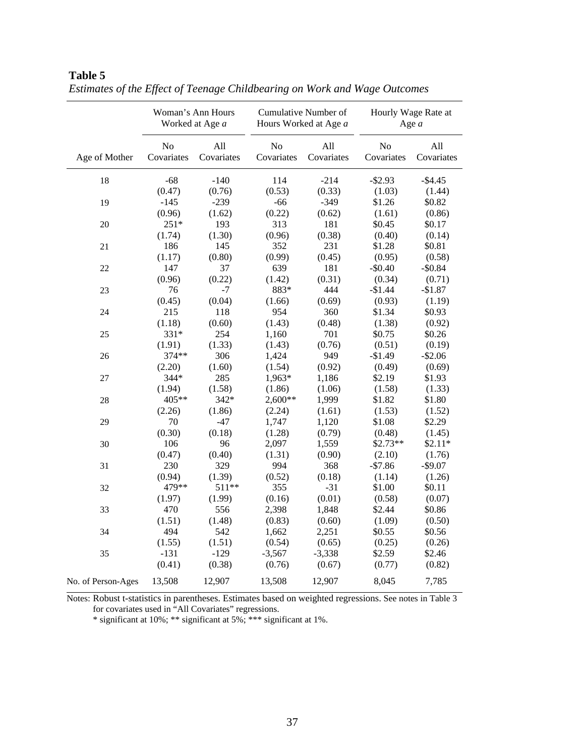|                    | Woman's Ann Hours<br>Worked at Age a |                   |                              | Cumulative Number of<br>Hours Worked at Age a | Hourly Wage Rate at<br>Age $a$ |                   |  |
|--------------------|--------------------------------------|-------------------|------------------------------|-----------------------------------------------|--------------------------------|-------------------|--|
| Age of Mother      | N <sub>o</sub><br>Covariates         | All<br>Covariates | N <sub>o</sub><br>Covariates | All<br>Covariates                             | No<br>Covariates               | All<br>Covariates |  |
| 18                 | $-68$                                | $-140$            | 114                          | $-214$                                        | $-$ \$2.93                     | $-$4.45$          |  |
|                    | (0.47)                               | (0.76)            | (0.53)                       | (0.33)                                        | (1.03)                         | (1.44)            |  |
| 19                 | $-145$                               | $-239$            | $-66$                        | $-349$                                        | \$1.26                         | \$0.82            |  |
|                    | (0.96)                               | (1.62)            | (0.22)                       | (0.62)                                        | (1.61)                         | (0.86)            |  |
| 20                 | $251*$                               | 193               | 313                          | 181                                           | \$0.45                         | \$0.17            |  |
|                    | (1.74)                               | (1.30)            | (0.96)                       | (0.38)                                        | (0.40)                         | (0.14)            |  |
| 21                 | 186                                  | 145               | 352                          | 231                                           | \$1.28                         | \$0.81            |  |
|                    | (1.17)                               | (0.80)            | (0.99)                       | (0.45)                                        | (0.95)                         | (0.58)            |  |
| 22                 | 147                                  | 37                | 639                          | 181                                           | $-$0.40$                       | $-$0.84$          |  |
|                    | (0.96)                               | (0.22)            | (1.42)                       | (0.31)                                        | (0.34)                         | (0.71)            |  |
| 23                 | 76                                   | -7                | 883*                         | 444                                           | $-$1.44$                       | $-$1.87$          |  |
|                    | (0.45)                               | (0.04)            | (1.66)                       | (0.69)                                        | (0.93)                         | (1.19)            |  |
| 24                 | 215                                  | 118               | 954                          | 360                                           | \$1.34                         | \$0.93            |  |
|                    | (1.18)                               | (0.60)            | (1.43)                       | (0.48)                                        | (1.38)                         | (0.92)            |  |
| 25                 | 331*                                 | 254               | 1,160                        | 701                                           | \$0.75                         | \$0.26            |  |
|                    | (1.91)                               | (1.33)            | (1.43)                       | (0.76)                                        | (0.51)                         | (0.19)            |  |
| 26                 | 374**                                | 306               | 1,424                        | 949                                           | $-$1.49$                       | $-$2.06$          |  |
|                    | (2.20)                               | (1.60)            | (1.54)                       | (0.92)                                        | (0.49)                         | (0.69)            |  |
| $27\,$             | $344*$                               | 285               | 1,963*                       | 1,186                                         | \$2.19                         | \$1.93            |  |
|                    | (1.94)                               | (1.58)            | (1.86)                       | (1.06)                                        | (1.58)                         | (1.33)            |  |
| 28                 | 405**                                | 342*              | 2,600**                      | 1,999                                         | \$1.82                         | \$1.80            |  |
|                    | (2.26)                               | (1.86)            | (2.24)                       | (1.61)                                        | (1.53)                         | (1.52)            |  |
| 29                 | 70                                   | $-47$             | 1,747                        | 1,120                                         | \$1.08                         | \$2.29            |  |
|                    | (0.30)                               | (0.18)            | (1.28)                       | (0.79)                                        | (0.48)                         | (1.45)            |  |
| 30                 | 106                                  | 96                | 2,097                        | 1,559                                         | $$2.73**$                      | $$2.11*$          |  |
|                    | (0.47)                               | (0.40)            | (1.31)                       | (0.90)                                        | (2.10)                         | (1.76)            |  |
| 31                 | 230                                  | 329               | 994                          | 368                                           | $-$7.86$                       | $-$9.07$          |  |
|                    | (0.94)                               | (1.39)            | (0.52)                       | (0.18)                                        | (1.14)                         | (1.26)            |  |
| 32                 | 479**                                | 511**             | 355                          | $-31$                                         | \$1.00                         | \$0.11            |  |
|                    | (1.97)                               | (1.99)            | (0.16)                       | (0.01)                                        | (0.58)                         | (0.07)            |  |
| 33                 | 470                                  | 556               | 2,398                        | 1,848                                         | \$2.44                         | \$0.86            |  |
|                    | (1.51)                               | (1.48)            | (0.83)                       | (0.60)                                        | (1.09)                         | (0.50)            |  |
| 34                 | 494                                  | 542               | 1,662                        | 2,251                                         | \$0.55                         | \$0.56            |  |
|                    | (1.55)                               | (1.51)            | (0.54)                       | (0.65)                                        | (0.25)                         | (0.26)            |  |
| 35                 | $-131$                               | $-129$            | $-3,567$                     | $-3,338$                                      | \$2.59                         | \$2.46            |  |
|                    | (0.41)                               | (0.38)            | (0.76)                       | (0.67)                                        | (0.77)                         | (0.82)            |  |
|                    |                                      |                   |                              |                                               |                                |                   |  |
| No. of Person-Ages | 13,508                               | 12,907            | 13,508                       | 12,907                                        | 8,045                          | 7,785             |  |

*Estimates of the Effect of Teenage Childbearing on Work and Wage Outcomes* 

**Table 5** 

Notes: Robust t-statistics in parentheses. Estimates based on weighted regressions. See notes in Table 3 for covariates used in "All Covariates" regressions.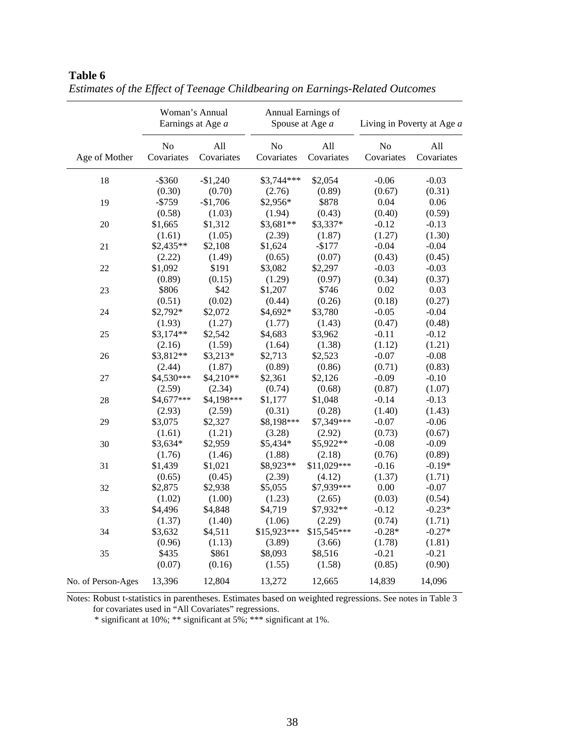|                    | Woman's Annual<br>Earnings at Age a |                   | Annual Earnings of<br>Spouse at Age a |                   | Living in Poverty at Age a |                   |
|--------------------|-------------------------------------|-------------------|---------------------------------------|-------------------|----------------------------|-------------------|
| Age of Mother      | No<br>Covariates                    | All<br>Covariates | No<br>Covariates                      | All<br>Covariates | No<br>Covariates           | All<br>Covariates |
| 18                 | $-$ \$360                           | $-$1,240$         | \$3,744***                            | \$2,054           | $-0.06$                    | $-0.03$           |
|                    | (0.30)                              | (0.70)            | (2.76)                                | (0.89)            | (0.67)                     | (0.31)            |
| 19                 | $- $759$                            | $-$1,706$         | \$2,956*                              | \$878             | 0.04                       | 0.06              |
|                    | (0.58)                              | (1.03)            | (1.94)                                | (0.43)            | (0.40)                     | (0.59)            |
| 20                 | \$1,665                             | \$1,312           | \$3,681**                             | \$3,337*          | $-0.12$                    | $-0.13$           |
|                    | (1.61)                              | (1.05)            | (2.39)                                | (1.87)            | (1.27)                     | (1.30)            |
| 21                 | \$2,435**                           | \$2,108           | \$1,624                               | $-$177$           | $-0.04$                    | $-0.04$           |
|                    | (2.22)                              | (1.49)            | (0.65)                                | (0.07)            | (0.43)                     | (0.45)            |
| 22                 | \$1,092                             | \$191             | \$3,082                               | \$2,297           | $-0.03$                    | $-0.03$           |
|                    | (0.89)                              | (0.15)            | (1.29)                                | (0.97)            | (0.34)                     | (0.37)            |
| 23                 | \$806                               | \$42              | \$1,207                               | \$746             | 0.02                       | 0.03              |
|                    | (0.51)                              | (0.02)            | (0.44)                                | (0.26)            | (0.18)                     | (0.27)            |
| 24                 | \$2,792*                            | \$2,072           | \$4,692*                              | \$3,780           | $-0.05$                    | $-0.04$           |
|                    | (1.93)                              | (1.27)            | (1.77)                                | (1.43)            | (0.47)                     | (0.48)            |
| 25                 | $$3,174**$                          | \$2,542           | \$4,683                               | \$3,962           | $-0.11$                    | $-0.12$           |
|                    | (2.16)                              | (1.59)            | (1.64)                                | (1.38)            | (1.12)                     | (1.21)            |
| 26                 | \$3,812**                           | $$3,213*$         | \$2,713                               | \$2,523           | $-0.07$                    | $-0.08$           |
|                    | (2.44)                              | (1.87)            | (0.89)                                | (0.86)            | (0.71)                     | (0.83)            |
| $27\,$             | \$4,530***                          | \$4,210**         | \$2,361                               | \$2,126           | $-0.09$                    | $-0.10$           |
|                    | (2.59)                              | (2.34)            | (0.74)                                | (0.68)            | (0.87)                     | (1.07)            |
| 28                 | \$4,677***                          | \$4,198***        | \$1,177                               | \$1,048           | $-0.14$                    | $-0.13$           |
|                    | (2.93)                              | (2.59)            | (0.31)                                | (0.28)            | (1.40)                     | (1.43)            |
| 29                 | \$3,075                             | \$2,327           | \$8,198***                            | \$7,349***        | $-0.07$                    | $-0.06$           |
|                    | (1.61)                              | (1.21)            | (3.28)                                | (2.92)            | (0.73)                     | (0.67)            |
| 30                 | \$3,634*                            | \$2,959           | \$5,434*                              | \$5,922**         | $-0.08$                    | $-0.09$           |
|                    | (1.76)                              | (1.46)            | (1.88)                                | (2.18)            | (0.76)                     | (0.89)            |
| 31                 | \$1,439                             | \$1,021           | \$8,923**                             | \$11,029***       | $-0.16$                    | $-0.19*$          |
|                    | (0.65)                              | (0.45)            | (2.39)                                | (4.12)            | (1.37)                     | (1.71)            |
| 32                 | \$2,875                             | \$2,938           | \$5,055                               | \$7,939***        | 0.00                       | $-0.07$           |
|                    | (1.02)                              | (1.00)            | (1.23)                                | (2.65)            | (0.03)                     | (0.54)            |
| 33                 | \$4,496                             | \$4,848           | \$4,719                               | \$7,932**         | $-0.12$                    | $-0.23*$          |
|                    | (1.37)                              | (1.40)            | (1.06)                                | (2.29)            | (0.74)                     | (1.71)            |
| 34                 | \$3,632                             | \$4,511           | \$15,923***                           | $$15,545***$      | $-0.28*$                   | $-0.27*$          |
|                    | (0.96)                              | (1.13)            | (3.89)                                | (3.66)            | (1.78)                     | (1.81)            |
| 35                 | \$435                               | \$861             | \$8,093                               | \$8,516           | $-0.21$                    | $-0.21$           |
|                    | (0.07)                              | (0.16)            | (1.55)                                | (1.58)            | (0.85)                     | (0.90)            |
| No. of Person-Ages | 13,396                              | 12,804            | 13,272                                | 12,665            | 14,839                     | 14,096            |

*Estimates of the Effect of Teenage Childbearing on Earnings-Related Outcomes* 

**Table 6** 

Notes: Robust t-statistics in parentheses. Estimates based on weighted regressions. See notes in Table 3 for covariates used in "All Covariates" regressions.